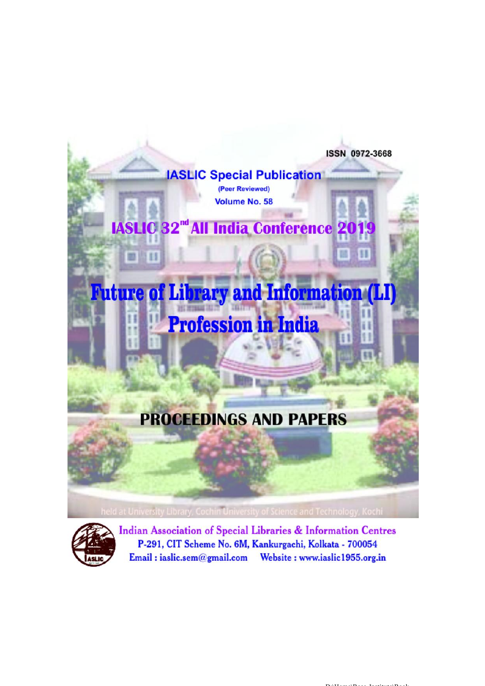



**Indian Association of Special Libraries & Information Centres** P-291, CIT Scheme No. 6M, Kankurgachi, Kolkata - 700054 Email: iaslic.sem@gmail.com Website: www.iaslic1955.org.in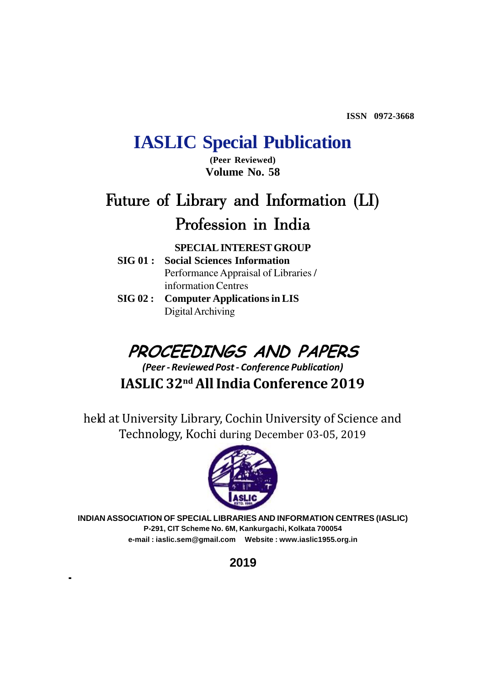**ISSN 0972-3668**

# **IASLIC Special Publication**

**(Peer Reviewed) Volume No. 58**

# **Future of Library and Information (LI) Profession in India**

**SPECIAL INTEREST GROUP**

- **SIG 01 : Social Sciences Information** Performance Appraisal of Libraries / information Centres
- **SIG 02 : Computer Applications in LIS** Digital Archiving

# *PROCEEDINGS AND PAPERS*

**IASLIC 32nd All India Conference 2019** *(Peer - Reviewed Post - Conference Publication)*

held at University Library, Cochin University of Science and Technology, Kochi during December 03-05, 2019



**INDIAN ASSOCIATION OF SPECIAL LIBRARIES AND INFORMATION CENTRES (IASLIC) P-291, CIT Scheme No. 6M, Kankurgachi, Kolkata 700054 e-mail : iaslic.sem@gmail.com Website : www.iaslic1955.org.in**

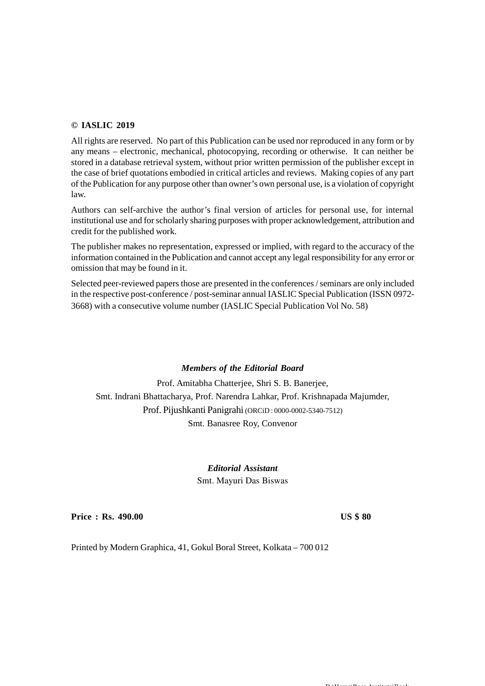### **© IASLIC 2019**

All rights are reserved. No part of this Publication can be used nor reproduced in any form or by any means – electronic, mechanical, photocopying, recording or otherwise. It can neither be stored in a database retrieval system, without prior written permission of the publisher except in the case of brief quotations embodied in critical articles and reviews. Making copies of any part of the Publication for any purpose other than owner's own personal use, is a violation of copyright law.

Authors can self-archive the author's final version of articles for personal use, for internal institutional use and for scholarly sharing purposes with proper acknowledgement, attribution and credit for the published work.

The publisher makes no representation, expressed or implied, with regard to the accuracy of the information contained in the Publication and cannot accept any legal responsibility for any error or omission that may be found in it.

Selected peer-reviewed papers those are presented in the conferences / seminars are only included in the respective post-conference / post-seminar annual IASLIC Special Publication (ISSN 0972- 3668) with a consecutive volume number (IASLIC Special Publication Vol No. 58)

### *Members of the Editorial Board*

Prof. Amitabha Chatterjee, Shri S. B. Banerjee, Smt. Indrani Bhattacharya, Prof. Narendra Lahkar, Prof. Krishnapada Majumder, Prof. Pijushkanti Panigrahi (ORCiD : 0000-0002-5340-7512) Smt. Banasree Roy, Convenor

> *Editorial Assistant* Smt. Mayuri Das Biswas

**Price : Rs. 490.00 US \$ 80** 

Printed by Modern Graphica, 41, Gokul Boral Street, Kolkata – 700 012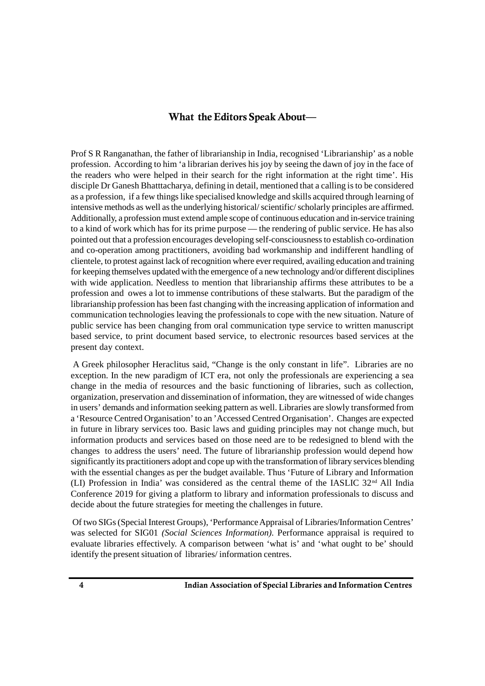### **What the Editors Speak About—**

Prof S R Ranganathan, the father of librarianship in India, recognised 'Librarianship' as a noble profession. According to him 'a librarian derives his joy by seeing the dawn of joy in the face of the readers who were helped in their search for the right information at the right time'. His disciple Dr Ganesh Bhatttacharya, defining in detail, mentioned that a calling is to be considered as a profession, if a few things like specialised knowledge and skills acquired through learning of intensive methods as well as the underlying historical/ scientific/ scholarly principles are affirmed. Additionally, a profession must extend ample scope of continuous education and in-service training to a kind of work which has for its prime purpose — the rendering of public service. He has also pointed out that a profession encourages developing self-consciousness to establish co-ordination and co-operation among practitioners, avoiding bad workmanship and indifferent handling of clientele, to protest against lack of recognition where ever required, availing education and training for keeping themselves updated with the emergence of a new technology and/or different disciplines with wide application. Needless to mention that librarianship affirms these attributes to be a profession and owes a lot to immense contributions of these stalwarts. But the paradigm of the librarianship profession has been fast changing with the increasing application of information and communication technologies leaving the professionals to cope with the new situation. Nature of public service has been changing from oral communication type service to written manuscript based service, to print document based service, to electronic resources based services at the present day context.

 A Greek philosopher Heraclitus said, "Change is the only constant in life". Libraries are no exception. In the new paradigm of ICT era, not only the professionals are experiencing a sea change in the media of resources and the basic functioning of libraries, such as collection, organization, preservation and dissemination of information, they are witnessed of wide changes in users' demands and information seeking pattern as well. Libraries are slowly transformed from a 'Resource Centred Organisation' to an 'Accessed Centred Organisation'. Changes are expected in future in library services too. Basic laws and guiding principles may not change much, but information products and services based on those need are to be redesigned to blend with the changes to address the users' need. The future of librarianship profession would depend how significantly its practitioners adopt and cope up with the transformation of library services blending with the essential changes as per the budget available. Thus 'Future of Library and Information (LI) Profession in India' was considered as the central theme of the IASLIC 32nd All India Conference 2019 for giving a platform to library and information professionals to discuss and decide about the future strategies for meeting the challenges in future.

 Of two SIGs (Special Interest Groups), 'Performance Appraisal of Libraries/Information Centres' was selected for SIG01 *(Social Sciences Information).* Performance appraisal is required to evaluate libraries effectively. A comparison between 'what is' and 'what ought to be' should identify the present situation of libraries/ information centres.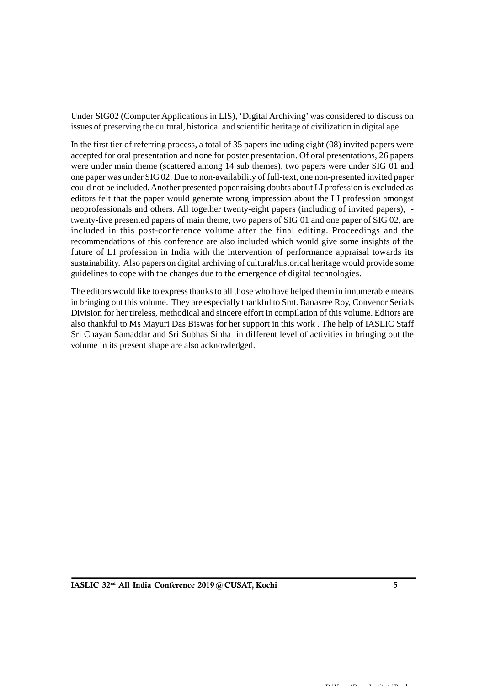Under SIG02 (Computer Applications in LIS), 'Digital Archiving' was considered to discuss on issues of preserving the cultural, historical and scientific heritage of civilization in digital age.

In the first tier of referring process, a total of 35 papers including eight (08) invited papers were accepted for oral presentation and none for poster presentation. Of oral presentations, 26 papers were under main theme (scattered among 14 sub themes), two papers were under SIG 01 and one paper was under SIG 02. Due to non-availability of full-text, one non-presented invited paper could not be included. Another presented paper raising doubts about LI profession is excluded as editors felt that the paper would generate wrong impression about the LI profession amongst neoprofessionals and others. All together twenty-eight papers (including of invited papers), twenty-five presented papers of main theme, two papers of SIG 01 and one paper of SIG 02, are included in this post-conference volume after the final editing. Proceedings and the recommendations of this conference are also included which would give some insights of the future of LI profession in India with the intervention of performance appraisal towards its sustainability. Also papers on digital archiving of cultural/historical heritage would provide some guidelines to cope with the changes due to the emergence of digital technologies.

The editors would like to express thanks to all those who have helped them in innumerable means in bringing out this volume. They are especially thankful to Smt. Banasree Roy, Convenor Serials Division for her tireless, methodical and sincere effort in compilation of this volume. Editors are also thankful to Ms Mayuri Das Biswas for her support in this work . The help of IASLIC Staff Sri Chayan Samaddar and Sri Subhas Sinha in different level of activities in bringing out the volume in its present shape are also acknowledged.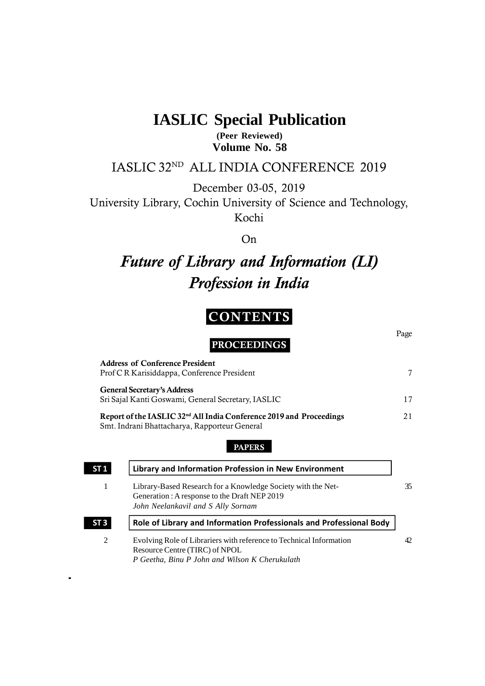# **IASLIC Special Publication**

**(Peer Reviewed) Volume No. 58**

# IASLIC 32ND ALL INDIA CONFERENCE 2019

December 03-05, 2019

University Library, Cochin University of Science and Technology, Kochi

On

# *Future of Library and Information (LI) Profession in India*

# **CONTENTS**

Page

**PROCEEDINGS**

**Address of Conference President** Prof C R Karisiddappa, Conference President 7 **General Secretary's Address** Sri Sajal Kanti Goswami*,* General Secretary, IASLIC 17 **Report of the IASLIC 32nd All India Conference 2019 and Proceedings** 21 Smt. Indrani Bhattacharya, Rapporteur General

### **PAPERS**

| Generation: A response to the Draft NEP 2019<br>John Neelankavil and S Ally Sornam | Library-Based Research for a Knowledge Society with the Net-                                                          |
|------------------------------------------------------------------------------------|-----------------------------------------------------------------------------------------------------------------------|
|                                                                                    | Role of Library and Information Professionals and Professional Body                                                   |
| Resource Centre (TIRC) of NPOL                                                     | Evolving Role of Librariers with reference to Technical Information<br>P Geetha, Binu P John and Wilson K Cherukulath |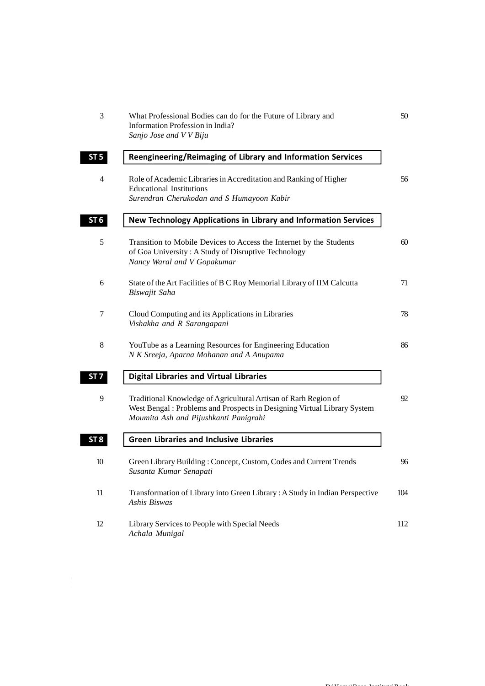| 3               | What Professional Bodies can do for the Future of Library and<br>Information Profession in India?<br>Sanjo Jose and V V Biju                                                        | 50  |
|-----------------|-------------------------------------------------------------------------------------------------------------------------------------------------------------------------------------|-----|
| ST <sub>5</sub> | Reengineering/Reimaging of Library and Information Services                                                                                                                         |     |
| 4               | Role of Academic Libraries in Accreditation and Ranking of Higher<br><b>Educational Institutions</b><br>Surendran Cherukodan and S Humayoon Kabir                                   | 56  |
| ST <sub>6</sub> | New Technology Applications in Library and Information Services                                                                                                                     |     |
| 5               | Transition to Mobile Devices to Access the Internet by the Students<br>of Goa University: A Study of Disruptive Technology<br>Nancy Waral and V Gopakumar                           | 60  |
| 6               | State of the Art Facilities of B C Roy Memorial Library of IIM Calcutta<br>Biswajit Saha                                                                                            | 71  |
| 7               | Cloud Computing and its Applications in Libraries<br>Vishakha and R Sarangapani                                                                                                     | 78  |
| 8               | YouTube as a Learning Resources for Engineering Education<br>N K Sreeja, Aparna Mohanan and A Anupama                                                                               | 86  |
| ST 7            | <b>Digital Libraries and Virtual Libraries</b>                                                                                                                                      |     |
| 9               | Traditional Knowledge of Agricultural Artisan of Rarh Region of<br>West Bengal: Problems and Prospects in Designing Virtual Library System<br>Moumita Ash and Pijushkanti Panigrahi | 92  |
| ST <sub>8</sub> | <b>Green Libraries and Inclusive Libraries</b>                                                                                                                                      |     |
| 10              | Green Library Building: Concept, Custom, Codes and Current Trends<br>Susanta Kumar Senapati                                                                                         | 96  |
| 11              | Transformation of Library into Green Library: A Study in Indian Perspective<br><b>Ashis Biswas</b>                                                                                  | 104 |
| 12              | Library Services to People with Special Needs<br>Achala Munigal                                                                                                                     | 112 |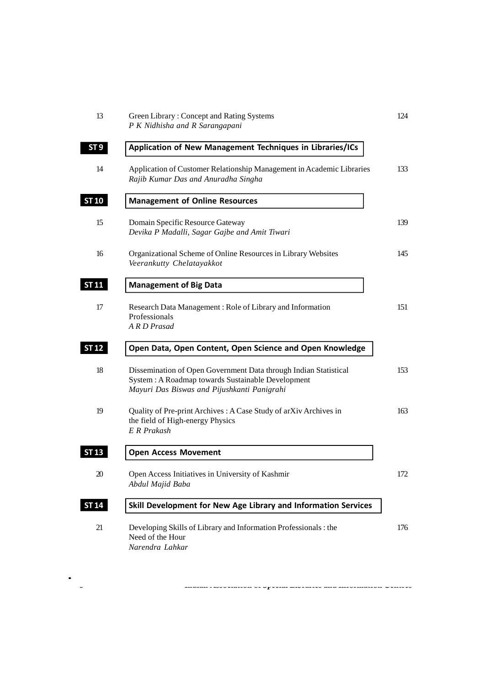| 13              | Green Library: Concept and Rating Systems<br>P K Nidhisha and R Sarangapani                                                                                          | 124 |
|-----------------|----------------------------------------------------------------------------------------------------------------------------------------------------------------------|-----|
| ST <sub>9</sub> | Application of New Management Techniques in Libraries/ICs                                                                                                            |     |
| 14              | Application of Customer Relationship Management in Academic Libraries<br>Rajib Kumar Das and Anuradha Singha                                                         | 133 |
| <b>ST 10</b>    | <b>Management of Online Resources</b>                                                                                                                                |     |
| 15              | Domain Specific Resource Gateway<br>Devika P Madalli, Sagar Gajbe and Amit Tiwari                                                                                    | 139 |
| 16              | Organizational Scheme of Online Resources in Library Websites<br>Veerankutty Chelatayakkot                                                                           | 145 |
| <b>ST 11</b>    | <b>Management of Big Data</b>                                                                                                                                        |     |
| 17              | Research Data Management: Role of Library and Information<br>Professionals<br>A R D Prasad                                                                           | 151 |
| <b>ST 12</b>    | Open Data, Open Content, Open Science and Open Knowledge                                                                                                             |     |
| 18              | Dissemination of Open Government Data through Indian Statistical<br>System: A Roadmap towards Sustainable Development<br>Mayuri Das Biswas and Pijushkanti Panigrahi | 153 |
| 19              | Quality of Pre-print Archives: A Case Study of arXiv Archives in<br>the field of High-energy Physics<br>E R Prakash                                                  | 163 |
| <b>ST 13</b>    | <b>Open Access Movement</b>                                                                                                                                          |     |
| 20              | Open Access Initiatives in University of Kashmir<br>Abdul Majid Baba                                                                                                 | 172 |
| <b>ST 14</b>    | Skill Development for New Age Library and Information Services                                                                                                       |     |
| 21              | Developing Skills of Library and Information Professionals: the<br>Need of the Hour<br>Narendra Lahkar                                                               | 176 |
|                 |                                                                                                                                                                      |     |

**8 Indian Association of Special Libraries and Information Centres**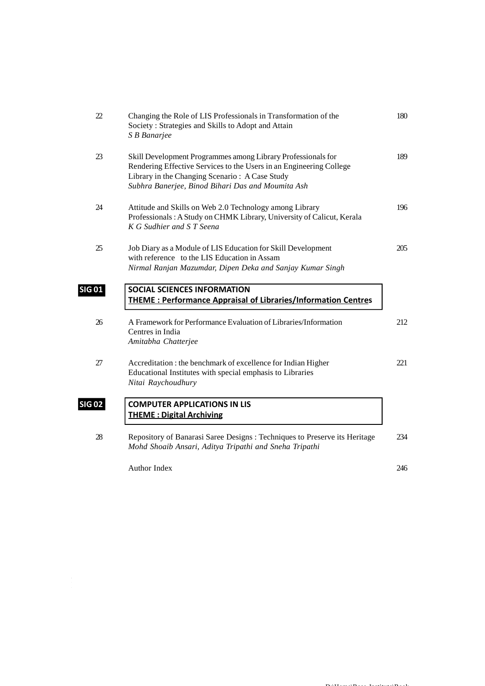| 22            | Changing the Role of LIS Professionals in Transformation of the<br>Society: Strategies and Skills to Adopt and Attain<br>S B Banarjee                                                                                                      | 180 |
|---------------|--------------------------------------------------------------------------------------------------------------------------------------------------------------------------------------------------------------------------------------------|-----|
| 23            | Skill Development Programmes among Library Professionals for<br>Rendering Effective Services to the Users in an Engineering College<br>Library in the Changing Scenario: A Case Study<br>Subhra Banerjee, Binod Bihari Das and Moumita Ash | 189 |
| 24            | Attitude and Skills on Web 2.0 Technology among Library<br>Professionals: A Study on CHMK Library, University of Calicut, Kerala<br>K G Sudhier and S T Seena                                                                              | 196 |
| 25            | Job Diary as a Module of LIS Education for Skill Development<br>with reference to the LIS Education in Assam<br>Nirmal Ranjan Mazumdar, Dipen Deka and Sanjay Kumar Singh                                                                  | 205 |
| <u>SIG 01</u> | <b>SOCIAL SCIENCES INFORMATION</b><br><b>THEME: Performance Appraisal of Libraries/Information Centres</b>                                                                                                                                 |     |
| 26            | A Framework for Performance Evaluation of Libraries/Information<br>Centres in India<br>Amitabha Chatterjee                                                                                                                                 | 212 |
| 27            | Accreditation : the benchmark of excellence for Indian Higher<br>Educational Institutes with special emphasis to Libraries<br>Nitai Raychoudhury                                                                                           | 221 |
| <u>SIG 02</u> | <b>COMPUTER APPLICATIONS IN LIS</b><br><b>THEME: Digital Archiving</b>                                                                                                                                                                     |     |
| 28            | Repository of Banarasi Saree Designs : Techniques to Preserve its Heritage<br>Mohd Shoaib Ansari, Aditya Tripathi and Sneha Tripathi                                                                                                       | 234 |
|               | Author Index                                                                                                                                                                                                                               | 246 |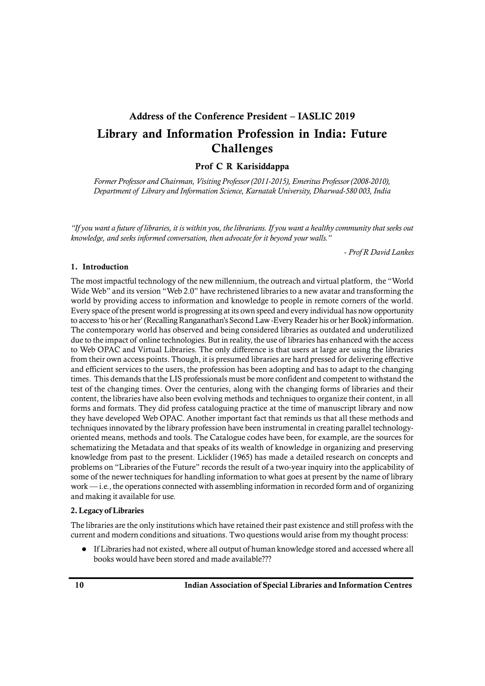# **Address of the Conference President – IASLIC 2019 Library and Information Profession in India: Future Challenges**

### **Prof C R Karisiddappa**

*Former Professor and Chairman, Visiting Professor (2011-2015), Emeritus Professor (2008-2010), Department of Library and Information Science, Karnatak University, Dharwad-580 003, India*

*"If you want a future of libraries, it is within you, the librarians. If you want a healthy community that seeks out knowledge, and seeks informed conversation, then advocate for it beyond your walls."* 

- *Prof R David Lankes*

#### **1. Introduction**

The most impactful technology of the new millennium, the outreach and virtual platform, the "World Wide Web" and its version "Web 2.0" have rechristened libraries to a new avatar and transforming the world by providing access to information and knowledge to people in remote corners of the world. Every space of the present world is progressing at its own speed and every individual has now opportunity to access to 'his or her' (Recalling Ranganathan's Second Law -Every Reader his or her Book) information. The contemporary world has observed and being considered libraries as outdated and underutilized due to the impact of online technologies. But in reality, the use of libraries has enhanced with the access to Web OPAC and Virtual Libraries. The only difference is that users at large are using the libraries from their own access points. Though, it is presumed libraries are hard pressed for delivering effective and efficient services to the users, the profession has been adopting and has to adapt to the changing times. This demands that the LIS professionals must be more confident and competent to withstand the test of the changing times. Over the centuries, along with the changing forms of libraries and their content, the libraries have also been evolving methods and techniques to organize their content, in all forms and formats. They did profess cataloguing practice at the time of manuscript library and now they have developed Web OPAC. Another important fact that reminds us that all these methods and techniques innovated by the library profession have been instrumental in creating parallel technologyoriented means, methods and tools. The Catalogue codes have been, for example, are the sources for schematizing the Metadata and that speaks of its wealth of knowledge in organizing and preserving knowledge from past to the present. Licklider (1965) has made a detailed research on concepts and problems on "Libraries of the Future" records the result of a two-year inquiry into the applicability of some of the newer techniques for handling information to what goes at present by the name of library work — i.e., the operations connected with assembling information in recorded form and of organizing and making it available for use.

#### **2. Legacy of Libraries**

The libraries are the only institutions which have retained their past existence and still profess with the current and modern conditions and situations. Two questions would arise from my thought process:

 If Libraries had not existed, where all output of human knowledge stored and accessed where all books would have been stored and made available???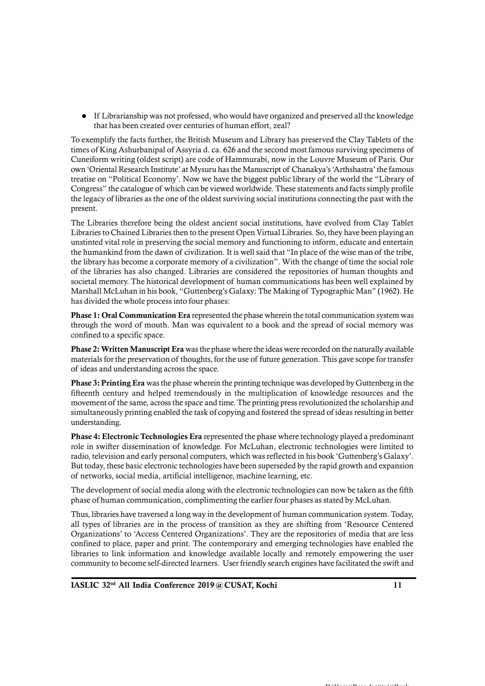If Librarianship was not professed, who would have organized and preserved all the knowledge that has been created over centuries of human effort, zeal?

To exemplify the facts further, the British Museum and Library has preserved the Clay Tablets of the times of King Ashurbanipal of Assyria d. ca. 626 and the second most famous surviving specimens of Cuneiform writing (oldest script) are code of Hammurabi, now in the Louvre Museum of Paris. Our own 'Oriental Research Institute' at Mysuru has the Manuscript of Chanakya's 'Arthshastra' the famous treatise on "Political Economy'. Now we have the biggest public library of the world the "Library of Congress" the catalogue of which can be viewed worldwide. These statements and facts simply profile the legacy of libraries as the one of the oldest surviving social institutions connecting the past with the present.

The Libraries therefore being the oldest ancient social institutions, have evolved from Clay Tablet Libraries to Chained Libraries then to the present Open Virtual Libraries. So, they have been playing an unstinted vital role in preserving the social memory and functioning to inform, educate and entertain the humankind from the dawn of civilization. It is well said that "In place of the wise man of the tribe, the library has become a corporate memory of a civilization". With the change of time the social role of the libraries has also changed. Libraries are considered the repositories of human thoughts and societal memory. The historical development of human communications has been well explained by Marshall McLuhan in his book, "Guttenberg's Galaxy: The Making of Typographic Man" (1962). He has divided the whole process into four phases:

**Phase 1: Oral Communication Era** represented the phase wherein the total communication system was through the word of mouth. Man was equivalent to a book and the spread of social memory was confined to a specific space.

**Phase 2: Written Manuscript Era** was the phase where the ideas were recorded on the naturally available materials for the preservation of thoughts, for the use of future generation. This gave scope for transfer of ideas and understanding across the space.

**Phase 3: Printing Era** was the phase wherein the printing technique was developed by Guttenberg in the fifteenth century and helped tremendously in the multiplication of knowledge resources and the movement of the same, across the space and time. The printing press revolutionized the scholarship and simultaneously printing enabled the task of copying and fostered the spread of ideas resulting in better understanding.

**Phase 4: Electronic Technologies Era** represented the phase where technology played a predominant role in swifter dissemination of knowledge. For McLuhan, electronic technologies were limited to radio, television and early personal computers, which was reflected in his book 'Guttenberg's Galaxy'. But today, these basic electronic technologies have been superseded by the rapid growth and expansion of networks, social media, artificial intelligence, machine learning, etc.

The development of social media along with the electronic technologies can now be taken as the fifth phase of human communication, complimenting the earlier four phases as stated by McLuhan.

Thus, libraries have traversed a long way in the development of human communication system. Today, all types of libraries are in the process of transition as they are shifting from 'Resource Centered Organizations' to 'Access Centered Organizations'. They are the repositories of media that are less confined to place, paper and print. The contemporary and emerging technologies have enabled the libraries to link information and knowledge available locally and remotely empowering the user community to become self-directed learners. User friendly search engines have facilitated the swift and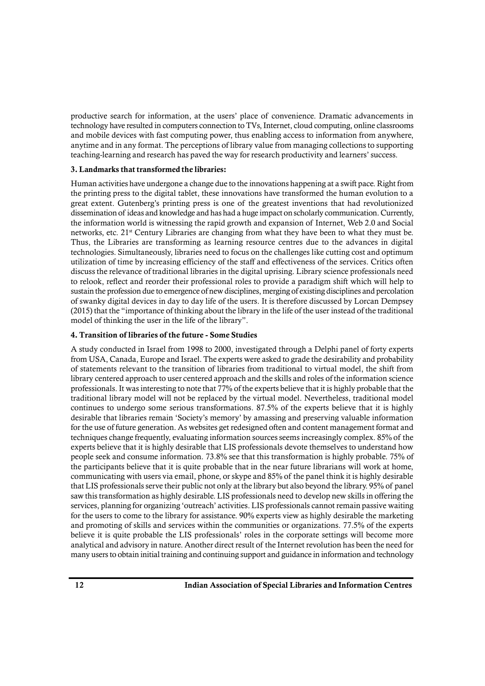productive search for information, at the users' place of convenience. Dramatic advancements in technology have resulted in computers connection to TVs, Internet, cloud computing, online classrooms and mobile devices with fast computing power, thus enabling access to information from anywhere, anytime and in any format. The perceptions of library value from managing collections to supporting teaching-learning and research has paved the way for research productivity and learners' success.

### **3. Landmarks that transformed the libraries:**

Human activities have undergone a change due to the innovations happening at a swift pace. Right from the printing press to the digital tablet, these innovations have transformed the human evolution to a great extent. Gutenberg's printing press is one of the greatest inventions that had revolutionized dissemination of ideas and knowledge and has had a huge impact on scholarly communication. Currently, the information world is witnessing the rapid growth and expansion of Internet, Web 2.0 and Social networks, etc. 21<sup>st</sup> Century Libraries are changing from what they have been to what they must be. Thus, the Libraries are transforming as learning resource centres due to the advances in digital technologies. Simultaneously, libraries need to focus on the challenges like cutting cost and optimum utilization of time by increasing efficiency of the staff and effectiveness of the services. Critics often discuss the relevance of traditional libraries in the digital uprising. Library science professionals need to relook, reflect and reorder their professional roles to provide a paradigm shift which will help to sustain the profession due to emergence of new disciplines, merging of existing disciplines and percolation of swanky digital devices in day to day life of the users. It is therefore discussed by Lorcan Dempsey (2015) that the "importance of thinking about the library in the life of the user instead of the traditional model of thinking the user in the life of the library".

### **4. Transition of libraries of the future - Some Studies**

A study conducted in Israel from 1998 to 2000, investigated through a Delphi panel of forty experts from USA, Canada, Europe and Israel. The experts were asked to grade the desirability and probability of statements relevant to the transition of libraries from traditional to virtual model, the shift from library centered approach to user centered approach and the skills and roles of the information science professionals. It was interesting to note that 77% of the experts believe that it is highly probable that the traditional library model will not be replaced by the virtual model. Nevertheless, traditional model continues to undergo some serious transformations. 87.5% of the experts believe that it is highly desirable that libraries remain 'Society's memory' by amassing and preserving valuable information for the use of future generation. As websites get redesigned often and content management format and techniques change frequently, evaluating information sources seems increasingly complex. 85% of the experts believe that it is highly desirable that LIS professionals devote themselves to understand how people seek and consume information. 73.8% see that this transformation is highly probable. 75% of the participants believe that it is quite probable that in the near future librarians will work at home, communicating with users via email, phone, or skype and 85% of the panel think it is highly desirable that LIS professionals serve their public not only at the library but also beyond the library. 95% of panel saw this transformation as highly desirable. LIS professionals need to develop new skills in offering the services, planning for organizing 'outreach' activities. LIS professionals cannot remain passive waiting for the users to come to the library for assistance. 90% experts view as highly desirable the marketing and promoting of skills and services within the communities or organizations. 77.5% of the experts believe it is quite probable the LIS professionals' roles in the corporate settings will become more analytical and advisory in nature. Another direct result of the Internet revolution has been the need for many users to obtain initial training and continuing support and guidance in information and technology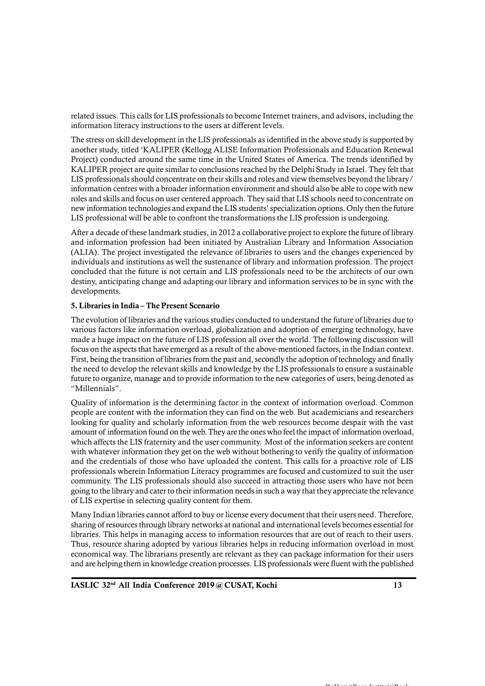related issues. This calls for LIS professionals to become Internet trainers, and advisors, including the information literacy instructions to the users at different levels.

The stress on skill development in the LIS professionals as identified in the above study is supported by another study, titled 'KALIPER (Kellogg ALISE Information Professionals and Education Renewal Project) conducted around the same time in the United States of America. The trends identified by KALIPER project are quite similar to conclusions reached by the Delphi Study in Israel. They felt that LIS professionals should concentrate on their skills and roles and view themselves beyond the library/ information centres with a broader information environment and should also be able to cope with new roles and skills and focus on user centered approach. They said that LIS schools need to concentrate on new information technologies and expand the LIS students' specialization options. Only then the future LIS professional will be able to confront the transformations the LIS profession is undergoing.

After a decade of these landmark studies, in 2012 a collaborative project to explore the future of library and information profession had been initiated by Australian Library and Information Association (ALIA). The project investigated the relevance of libraries to users and the changes experienced by individuals and institutions as well the sustenance of library and information profession. The project concluded that the future is not certain and LIS professionals need to be the architects of our own destiny, anticipating change and adapting our library and information services to be in sync with the developments.

#### **5. Libraries in India – The Present Scenario**

The evolution of libraries and the various studies conducted to understand the future of libraries due to various factors like information overload, globalization and adoption of emerging technology, have made a huge impact on the future of LIS profession all over the world. The following discussion will focus on the aspects that have emerged as a result of the above-mentioned factors, in the Indian context. First, being the transition of libraries from the past and, secondly the adoption of technology and finally the need to develop the relevant skills and knowledge by the LIS professionals to ensure a sustainable future to organize, manage and to provide information to the new categories of users, being denoted as "Millennials".

Quality of information is the determining factor in the context of information overload. Common people are content with the information they can find on the web. But academicians and researchers looking for quality and scholarly information from the web resources become despair with the vast amount of information found on the web. They are the ones who feel the impact of information overload, which affects the LIS fraternity and the user community. Most of the information seekers are content with whatever information they get on the web without bothering to verify the quality of information and the credentials of those who have uploaded the content. This calls for a proactive role of LIS professionals wherein Information Literacy programmes are focused and customized to suit the user community. The LIS professionals should also succeed in attracting those users who have not been going to the library and cater to their information needs in such a way that they appreciate the relevance of LIS expertise in selecting quality content for them.

Many Indian libraries cannot afford to buy or license every document that their users need. Therefore, sharing of resources through library networks at national and international levels becomes essential for libraries. This helps in managing access to information resources that are out of reach to their users. Thus, resource sharing adopted by various libraries helps in reducing information overload in most economical way. The librarians presently are relevant as they can package information for their users and are helping them in knowledge creation processes. LIS professionals were fluent with the published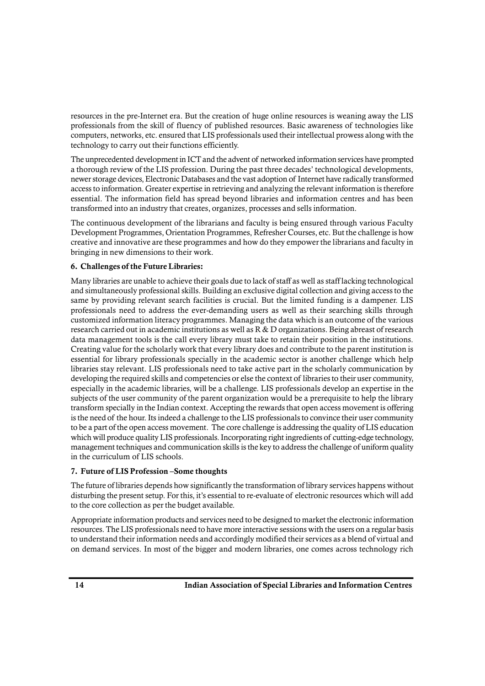resources in the pre-Internet era. But the creation of huge online resources is weaning away the LIS professionals from the skill of fluency of published resources. Basic awareness of technologies like computers, networks, etc. ensured that LIS professionals used their intellectual prowess along with the technology to carry out their functions efficiently.

The unprecedented development in ICT and the advent of networked information services have prompted a thorough review of the LIS profession. During the past three decades' technological developments, newer storage devices, Electronic Databases and the vast adoption of Internet have radically transformed access to information. Greater expertise in retrieving and analyzing the relevant information is therefore essential. The information field has spread beyond libraries and information centres and has been transformed into an industry that creates, organizes, processes and sells information.

The continuous development of the librarians and faculty is being ensured through various Faculty Development Programmes, Orientation Programmes, Refresher Courses, etc. But the challenge is how creative and innovative are these programmes and how do they empower the librarians and faculty in bringing in new dimensions to their work.

### **6. Challenges of the Future Libraries:**

Many libraries are unable to achieve their goals due to lack of staff as well as staff lacking technological and simultaneously professional skills. Building an exclusive digital collection and giving access to the same by providing relevant search facilities is crucial. But the limited funding is a dampener. LIS professionals need to address the ever-demanding users as well as their searching skills through customized information literacy programmes. Managing the data which is an outcome of the various research carried out in academic institutions as well as R & D organizations. Being abreast of research data management tools is the call every library must take to retain their position in the institutions. Creating value for the scholarly work that every library does and contribute to the parent institution is essential for library professionals specially in the academic sector is another challenge which help libraries stay relevant. LIS professionals need to take active part in the scholarly communication by developing the required skills and competencies or else the context of libraries to their user community, especially in the academic libraries, will be a challenge. LIS professionals develop an expertise in the subjects of the user community of the parent organization would be a prerequisite to help the library transform specially in the Indian context. Accepting the rewards that open access movement is offering is the need of the hour. Its indeed a challenge to the LIS professionals to convince their user community to be a part of the open access movement. The core challenge is addressing the quality of LIS education which will produce quality LIS professionals. Incorporating right ingredients of cutting-edge technology, management techniques and communication skills is the key to address the challenge of uniform quality in the curriculum of LIS schools.

#### **7. Future of LIS Profession –Some thoughts**

The future of libraries depends how significantly the transformation of library services happens without disturbing the present setup. For this, it's essential to re-evaluate of electronic resources which will add to the core collection as per the budget available.

Appropriate information products and services need to be designed to market the electronic information resources. The LIS professionals need to have more interactive sessions with the users on a regular basis to understand their information needs and accordingly modified their services as a blend of virtual and on demand services. In most of the bigger and modern libraries, one comes across technology rich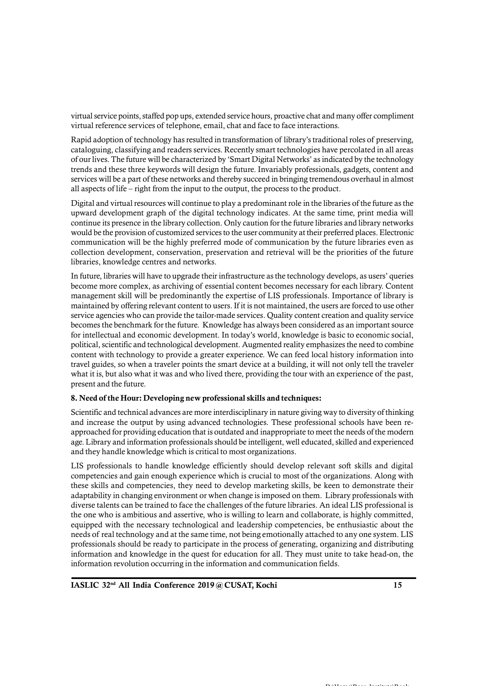virtual service points, staffed pop ups, extended service hours, proactive chat and many offer compliment virtual reference services of telephone, email, chat and face to face interactions.

Rapid adoption of technology has resulted in transformation of library's traditional roles of preserving, cataloguing, classifying and readers services. Recently smart technologies have percolated in all areas of our lives. The future will be characterized by 'Smart Digital Networks' as indicated by the technology trends and these three keywords will design the future. Invariably professionals, gadgets, content and services will be a part of these networks and thereby succeed in bringing tremendous overhaul in almost all aspects of life – right from the input to the output, the process to the product.

Digital and virtual resources will continue to play a predominant role in the libraries of the future as the upward development graph of the digital technology indicates. At the same time, print media will continue its presence in the library collection. Only caution for the future libraries and library networks would be the provision of customized services to the user community at their preferred places. Electronic communication will be the highly preferred mode of communication by the future libraries even as collection development, conservation, preservation and retrieval will be the priorities of the future libraries, knowledge centres and networks.

In future, libraries will have to upgrade their infrastructure as the technology develops, as users' queries become more complex, as archiving of essential content becomes necessary for each library. Content management skill will be predominantly the expertise of LIS professionals. Importance of library is maintained by offering relevant content to users. If it is not maintained, the users are forced to use other service agencies who can provide the tailor-made services. Quality content creation and quality service becomes the benchmark for the future. Knowledge has always been considered as an important source for intellectual and economic development. In today's world, knowledge is basic to economic social, political, scientific and technological development. Augmented reality emphasizes the need to combine content with technology to provide a greater experience. We can feed local history information into travel guides, so when a traveler points the smart device at a building, it will not only tell the traveler what it is, but also what it was and who lived there, providing the tour with an experience of the past, present and the future.

#### **8. Need of the Hour: Developing new professional skills and techniques:**

Scientific and technical advances are more interdisciplinary in nature giving way to diversity of thinking and increase the output by using advanced technologies. These professional schools have been reapproached for providing education that is outdated and inappropriate to meet the needs of the modern age. Library and information professionals should be intelligent, well educated, skilled and experienced and they handle knowledge which is critical to most organizations.

LIS professionals to handle knowledge efficiently should develop relevant soft skills and digital competencies and gain enough experience which is crucial to most of the organizations. Along with these skills and competencies, they need to develop marketing skills, be keen to demonstrate their adaptability in changing environment or when change is imposed on them. Library professionals with diverse talents can be trained to face the challenges of the future libraries. An ideal LIS professional is the one who is ambitious and assertive, who is willing to learn and collaborate, is highly committed, equipped with the necessary technological and leadership competencies, be enthusiastic about the needs of real technology and at the same time, not being emotionally attached to any one system. LIS professionals should be ready to participate in the process of generating, organizing and distributing information and knowledge in the quest for education for all. They must unite to take head-on, the information revolution occurring in the information and communication fields.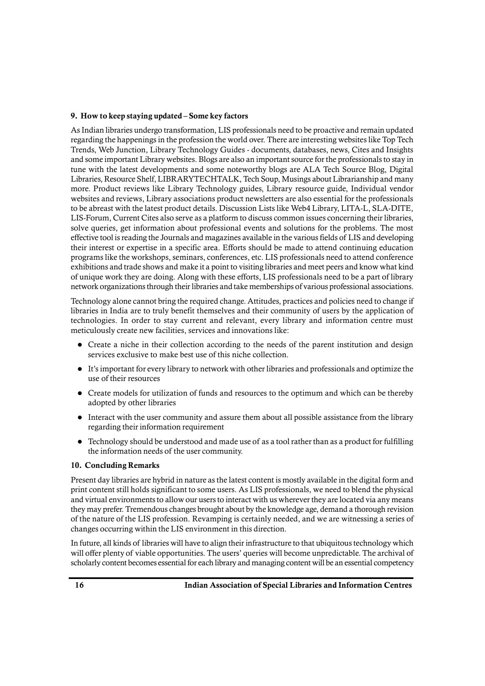### **9. How to keep staying updated – Some key factors**

As Indian libraries undergo transformation, LIS professionals need to be proactive and remain updated regarding the happenings in the profession the world over. There are interesting websites like Top Tech Trends, Web Junction, Library Technology Guides - documents, databases, news, Cites and Insights and some important Library websites. Blogs are also an important source for the professionals to stay in tune with the latest developments and some noteworthy blogs are ALA Tech Source Blog, Digital Libraries, Resource Shelf, LIBRARYTECHTALK, Tech Soup, Musings about Librarianship and many more. Product reviews like Library Technology guides, Library resource guide, Individual vendor websites and reviews, Library associations product newsletters are also essential for the professionals to be abreast with the latest product details. Discussion Lists like Web4 Library, LITA-L, SLA-DITE, LIS-Forum, Current Cites also serve as a platform to discuss common issues concerning their libraries, solve queries, get information about professional events and solutions for the problems. The most effective tool is reading the Journals and magazines available in the various fields of LIS and developing their interest or expertise in a specific area. Efforts should be made to attend continuing education programs like the workshops, seminars, conferences, etc. LIS professionals need to attend conference exhibitions and trade shows and make it a point to visiting libraries and meet peers and know what kind of unique work they are doing. Along with these efforts, LIS professionals need to be a part of library network organizations through their libraries and take memberships of various professional associations.

Technology alone cannot bring the required change. Attitudes, practices and policies need to change if libraries in India are to truly benefit themselves and their community of users by the application of technologies. In order to stay current and relevant, every library and information centre must meticulously create new facilities, services and innovations like:

- Create a niche in their collection according to the needs of the parent institution and design services exclusive to make best use of this niche collection.
- It's important for every library to network with other libraries and professionals and optimize the use of their resources
- Create models for utilization of funds and resources to the optimum and which can be thereby adopted by other libraries
- Interact with the user community and assure them about all possible assistance from the library regarding their information requirement
- Technology should be understood and made use of as a tool rather than as a product for fulfilling the information needs of the user community.

#### **10. Concluding Remarks**

Present day libraries are hybrid in nature as the latest content is mostly available in the digital form and print content still holds significant to some users. As LIS professionals, we need to blend the physical and virtual environments to allow our users to interact with us wherever they are located via any means they may prefer. Tremendous changes brought about by the knowledge age, demand a thorough revision of the nature of the LIS profession. Revamping is certainly needed, and we are witnessing a series of changes occurring within the LIS environment in this direction.

In future, all kinds of libraries will have to align their infrastructure to that ubiquitous technology which will offer plenty of viable opportunities. The users' queries will become unpredictable. The archival of scholarly content becomes essential for each library and managing content will be an essential competency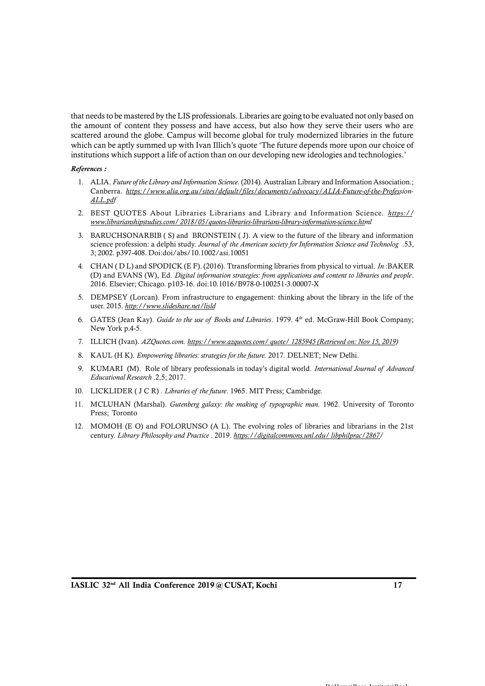that needs to be mastered by the LIS professionals. Libraries are going to be evaluated not only based on the amount of content they possess and have access, but also how they serve their users who are scattered around the globe. Campus will become global for truly modernized libraries in the future which can be aptly summed up with Ivan Illich's quote 'The future depends more upon our choice of institutions which support a life of action than on our developing new ideologies and technologies.'

#### *References :*

- 1. ALIA. *Future of the Library and Information Science.* (2014). Australian Library and Information Association.; Canberra. *https://www.alia.org.au/sites/default/files/documents/advocacy/ALIA-Future-of-the-Profession-ALL.pdf*
- 2. BEST QUOTES About Libraries Librarians and Library and Information Science. *https:// www.librarianshipstudies.com/ 2018/05/quotes-libraries-librarians-library-information-science.html*
- 3. BARUCHSONARBIB ( S) and BRONSTEIN ( J). A view to the future of the library and information BEST QUOTES About Libraries Librarians and Library and Information Science. *https://www.librarianshipstudies.com/ 2018/05/quotes-libraries-librarians-library-information-science.html*<br>BARUCHSONARBIB (S) and BRONSTEIN (J). 3; 2002. p397-408. Doi:doi/abs/10.1002/asi.10051
- 4. CHAN ( D L) and SPODICK (E F). (2016). Ttransforming libraries from physical to virtual. *In* :BAKER (D) and EVANS (W), Ed. *Digital information strategies: from applications and content to libraries and people*. 2016. Elsevier; Chicago. p103-16. doi:10.1016/B978-0-100251-3.00007-X
- 5. DEMPSEY (Lorcan). From infrastructure to engagement: thinking about the library in the life of the user. 2015. *http://www.slideshare.net/lisld*
- 6. GATES (Jean Kay). *Guide to the use of Books and Libraries*. 1979. 4<sup>th</sup> ed. McGraw-Hill Book Company;<br>New York p.4-5. New York p.4-5.
- 7. ILLICH (Ivan). *AZQuotes.com. https://www.azquotes.com/ quote/ 1285945 (Retrieved on: Nov 15, 2019)*
- 8. KAUL (H K). *Empowering libraries: strategies for the future.* 2017. DELNET; New Delhi.
- 9. KUMARI (Ivan). AZQuotes.com. <u>https://www.azquotes.com/guote/1285945 (Retrieved on: Nov 15, 2019</u>)<br>8. KAUL (HK). *Empowering libraries: strategies for the future.* 2017. DELNET; New Delhi.<br>9. KUMARI (M). Role of library *Educational Research* .2,5; 2017. 10. R. KAUL (H K). *Empowering libraries: strategies for the future.* 2017. DELNET; New<br>
10. KUMARI (M). Role of library professionals in today's digital world. *Internat<br>
<i>Educational Research* .2,5; 2017.<br>
10. LICKLIDER
- 
- 11. MCLUHAN (Marshal). *Gutenberg galaxy: the making of typographic man.* 1962. University of Toronto<br>
11. MCLUHAN (Marshal). *Gutenberg galaxy: the making of typographic man.* 1962. University of Toronto<br>
11. MCLUHAN (Mar Press; Toronto
- 12. MOMOH (E O) and FOLORUNSO (A L). The evolving roles of libraries and librarians in the 21st century. *Library Philosophy and Practice* . 2019. *https://digitalcommons.unl.edu/ libphilprac/2867/*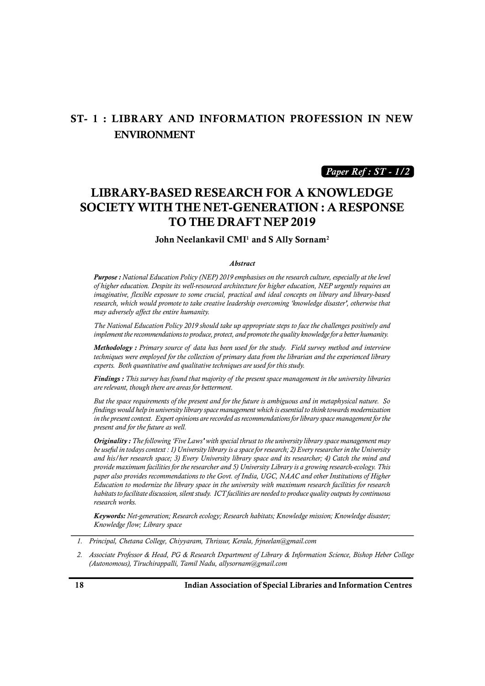## **ST- 1 : LIBRARY AND INFORMATION PROFESSION IN NEW ENVIRONMENT**

*Paper Ref : ST - 1/2*

# **LIBRARY-BASED RESEARCH FOR A KNOWLEDGE SOCIETY WITH THE NET-GENERATION : A RESPONSE TO THE DRAFT NEP 2019**

**John Neelankavil CMI<sup>1</sup> and S Ally Sornam<sup>2</sup>**

#### *Abstract*

*Purpose : National Education Policy (NEP) 2019 emphasises on the research culture, especially at the level of higher education. Despite its well-resourced architecture for higher education, NEP urgently requires an imaginative, flexible exposure to some crucial, practical and ideal concepts on library and library-based research, which would promote to take creative leadership overcoming 'knowledge disaster', otherwise that may adversely affect the entire humanity.*

*The National Education Policy 2019 should take up appropriate steps to face the challenges positively and implement the recommendations to produce, protect, and promote the quality knowledge for a better humanity.* 

*research, which would promote to take creative leadership overcoming 'knowledge disaster', otherwise that*<br>*Methodology is affect the entire humanity.*<br>*The National Education Policy 2019 should take up appropriate steps techniques were employed for the collection of primary data from the librarian and the experienced library experts. Both quantitative and qualitative techniques are used for this study. Methodology*: *Primary source of data has been used for the study. Field survey method and interview*<br>techniques were employed for the collection of primary data from the librarian and the experienced library<br>experts. Bot

*are relevant, though there are areas for betterment.*

*But the space requirements of the present and for the future is ambiguous and in metaphysical nature. So findings would help in university library space management which is essential to think towards modernization in the present context. Expert opinions are recorded as recommendations for library space management for the present and for the future as well.*

*Originality : The following 'Five Laws' with special thrust to the university library space management may be useful in todays context : 1) University library is a space for research; 2) Every researcher in the University and his/her research space; 3) Every University library space and its researcher; 4) Catch the mind and provide maximum facilities for the researcher and 5) University Library is a growing research-ecology. This paper also provides recommendations to the Govt. of India, UGC, NAAC and other Institutions of Higher Education to modernize the library space in the university with maximum research facilities for research habitats to facilitate discussion, silent study. ICT facilities are needed to produce quality outputs by continuous research works.*

*Keywords: Net-generation; Research ecology; Research habitats; Knowledge mission; Knowledge disaster; Knowledge flow; Library space*

*<sup>1.</sup> Principal, Chetana College, Chiyyaram, Thrissur, Kerala, frjneelan@gmail.com*

*<sup>2.</sup> Associate Professor & Head, PG & Research Department of Library & Information Science, Bishop Heber College (Autonomous), Tiruchirappalli, Tamil Nadu, allysornam@gmail.com*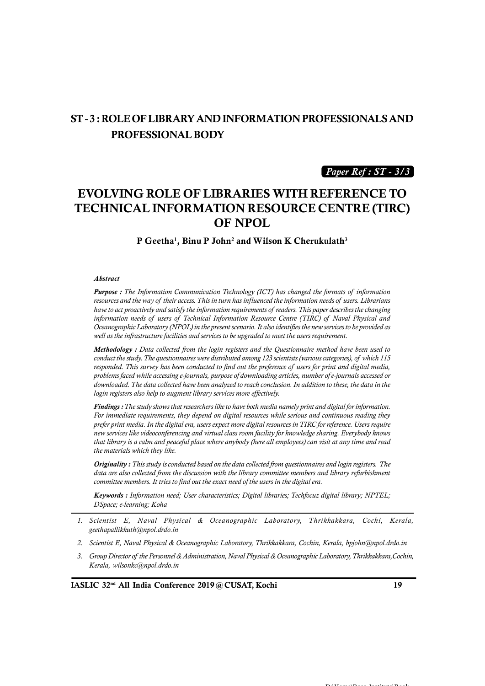# **ST - 3 :ROLE OF LIBRARY AND INFORMATION PROFESSIONALS AND PROFESSIONAL BODY**

*Paper Ref : ST - 3/3*

# **EVOLVING ROLE OF LIBRARIES WITH REFERENCE TO TECHNICAL INFORMATION RESOURCE CENTRE (TIRC) OF NPOL**

**P Geetha1, Binu P John<sup>2</sup> and Wilson K Cherukulath<sup>3</sup>**

#### *Abstract*

*Purpose : The Information Communication Technology (ICT) has changed the formats of information <i>Abstract*<br>*Purpose : The Information Communication Technology (ICT) has changed the formats of information resources and the way of their access. This in turn has influenced the information needs of users. Librarians h Abstract*<br>*Purpose : The Information Communication Technology (ICT) has changed the formats of information***<br>resources and the way of their access. This in turn has influenced the information needs of users. Librarians<br>ha** *Abstract*<br>**Purpose :** The Information Communication Technology (ICT) has changed the formats of information<br>resources and the way of their access. This in turn has influenced the information needs of users. Librarians<br>hav *Oceanographic Laboratory (NPOL) in the present scenario. It also identifies the new services to be provided as well as the infrastructure facilities and services to be upgraded to meet the users requirement.*

*Methodology : Data collected from the login registers and the Questionnaire method have been used to information needs of users of Technical Information Resource Centre (TIRC) of Naval Physical and*<br>Oceanographic Laboratory (NPOL) in the present scenario. It also identifies the new services to be provided as<br>well as the Oceanographic Laboratory (NPOL) in the present scenario. It also identifies the new services to be provided as<br>well as the infrastructure facilities and services to be upgraded to meet the users requirement.<br>**Methodology** *downloaded. The data collected have been analyzed to reach conclusion. In addition to these, the data in the login registers also help to augment library services more effectively.*

*Findings : The study shows that researchers like to have both media namely print and digital for information. For immediate requirements, they depend on digital resources while serious and continuous reading they prefer print media. In the digital era, users expect more digital resources in TIRC for reference. Users require new services like videoconferencing and virtual class room facility for knowledge sharing. Everybody knows that library is a calm and peaceful place where anybody (here all employees) can visit at any time and read the materials which they like.*

*Originality : This study is conducted based on the data collected from questionnaires and login registers. The data are also collected from the discussion with the library committee members and library refurbishment committee members. It tries to find out the exact need of the users in the digital era.*

*Keywords : Information need; User characteristics; Digital libraries; Techfocuz digital library; NPTEL; DSpace; e-learning; Koha*

- *1. Scientist E, Naval Physical & Oceanographic Laboratory, Thrikkakkara, Cochi, Kerala, geethapallikkuth@npol.drdo.in*
- *2. Scientist E, Naval Physical & Oceanographic Laboratory, Thrikkakkara, Cochin, Kerala, bpjohn@npol.drdo.in*
- *3. Scientist E, Naval Physical & Oceanographic Laboratory, Thrikkakkara, Cochi, Kerala,*<br>geethapallikkuth@npol.drdo.in<br>2. *Scientist E, Naval Physical & Oceanographic Laboratory, Thrikkakkara, Cochin, Kerala, bpjohn@npo Kerala, wilsonkc@npol.drdo.in*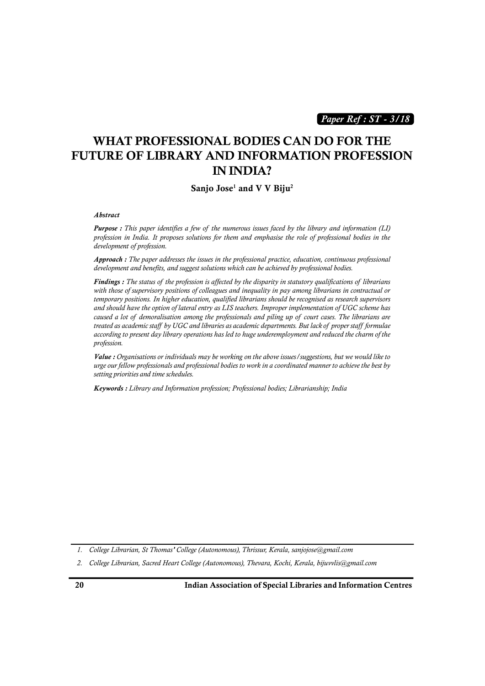*Paper Ref : ST - 3/18*

# **WHAT PROFESSIONAL BODIES CAN DO FOR THE FUTURE OF LIBRARY AND INFORMATION PROFESSION IN INDIA?**

#### **Sanjo Jose<sup>1</sup> and V V Biju<sup>2</sup>**

#### *Abstract*

**Sanjo Jose<sup>1</sup> and V V Biju<sup>2</sup><br>Abstract<br>Purpose : This paper identifies a few of the numerous issues faced by the library and information (LI)<br>profession in India. It proposes solutions for them and emphasise the role of** *development of profession.*

*Approach : The paper addresses the issues in the professional practice, education, continuous professional development and benefits, and suggest solutions which can be achieved by professional bodies.*

*Findings : The status of the profession is affected by the disparity in statutory qualifications of librarians with those of supervisory positions of colleagues and inequality in pay among librarians in contractual or temporary positions. In higher education, qualified librarians should be recognised as research supervisors and should have the option of lateral entry as LIS teachers. Improper implementation of UGC scheme has* **Findings**: The status of the profession is affected by the disparity in statutory qualifications of librarians with those of supervisory positions of colleagues and inequality in pay among librarians in contractual or tem *Findings : The status of the profession is affected by the disparity in statutory qualifications of librarians* **with those of supervisory positions of colleagues and inequality in pay among librarians in contractual or t** *according to present day library operations has led to huge underemployment and reduced the charm of the profession.*

*Value : Organisations or individuals may be working on the above issues/suggestions, but we would like to urge our fellow professionals and professional bodies to work in a coordinated manner to achieve the best by setting priorities and time schedules.*

*Keywords : Library and Information profession; Professional bodies; Librarianship; India*

*1. College Librarian, St Thomas' College (Autonomous), Thrissur, Kerala, sanjojose@gmail.com*

*2. College Librarian, Sacred Heart College (Autonomous), Thevara, Kochi, Kerala, bijuvvlis@gmail.com*

**20 Indian Association of Special Libraries and Information Centres**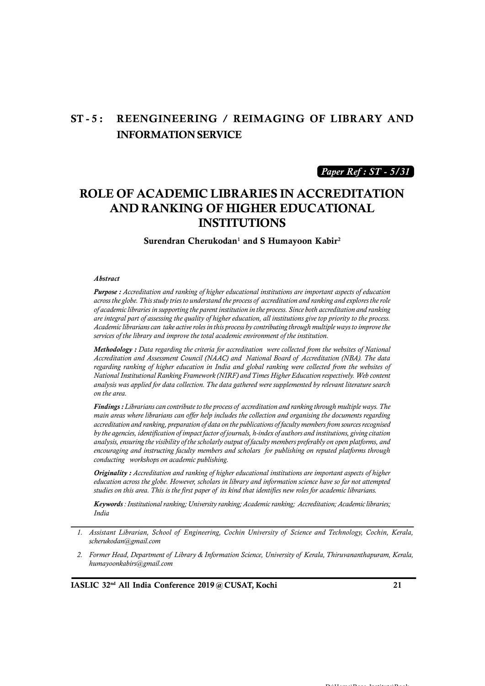# **ST - 5 : REENGINEERING / REIMAGING OF LIBRARY AND INFORMATION SERVICE**

*Paper Ref : ST - 5/31*

# **ROLE OF ACADEMIC LIBRARIES IN ACCREDITATION AND RANKING OF HIGHER EDUCATIONAL INSTITUTIONS**

**Surendran Cherukodan<sup>1</sup> and S Humayoon Kabir<sup>2</sup>**

#### *Abstract*

*Purpose : Accreditation and ranking of higher educational institutions are important aspects of education* **Abstract**<br>**Purpose :** Accreditation and ranking of higher educational institutions are important aspects of education<br>across the globe. This study tries to understand the process of accreditation and ranking and explores *are integral part of assessing the quality of higher education, all institutions give top priority to the process. Academic librarians can take active roles in this process by contributing through multiple ways to improve the services of the library and improve the total academic environment of the institution.*

*Methodology : Data regarding the criteria for accreditation were collected from the websites of National* are integral part of assessing the quality of higher education, all institutions give top priority to the process.<br>Academic librarians can take active roles in this process by contributing through multiple ways to improve *National Institutional Ranking Framework (NIRF) and Times Higher Education respectively. Web content analysis was applied for data collection. The data gathered were supplemented by relevant literature search on the area.*

*main areas where librarians can offer help includes the collection and organising the documents regarding accreditation and ranking, preparation of data on the publications of faculty members from sources recognised by the agencies, identification of impact factor of journals, h-index of authors and institutions, giving citation analysis, ensuring the visibility of the scholarly output of faculty members preferably on open platforms, and conducting workshops on academic publishing.*

*encouraging and instructing faculty members and scholars for publishing on reputed platforms through*<br> *conducting workshops on academic publishing.*<br> **Originality**: Accreditation and ranking of higher educational institu *Originality : Accreditation and ranking of higher educational institutions are important aspects of higher education across the globe. However, scholars in library and information science have so far not attempted*

*Keywords : Institutional ranking; University ranking; Academic ranking; Accreditation; Academic libraries; India*

*2. Former Head, Department of Library & Information Science, University of Kerala, Thiruvananthapuram, Kerala, humayoonkabirs@gmail.com*

 $\mathbf{D} \cdot \mathbf{H}$ 

*<sup>1.</sup> Assistant Librarian, School of Engineering, Cochin University of Science and Technology, Cochin, Kerala,***<br>***1. Assistant Librarian, School of Engineering, Cochin University of Science and Technology, Cochin, Kerala,***<br>** *scherukodan@gmail.com*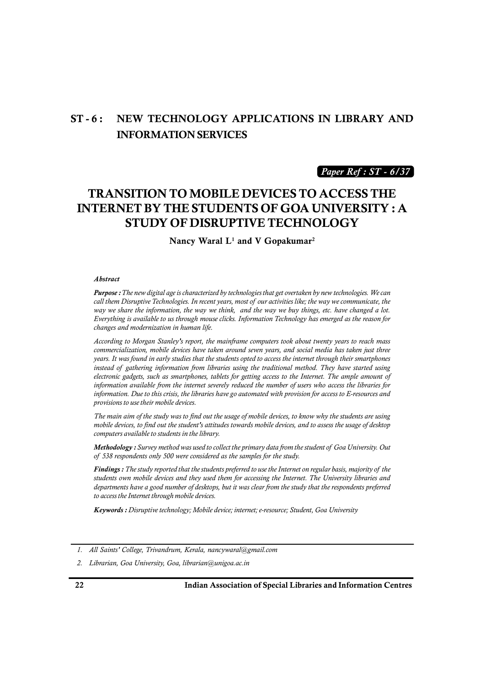# **ST - 6 : NEW TECHNOLOGY APPLICATIONS IN LIBRARY AND INFORMATION SERVICES**

*Paper Ref : ST - 6/37*

## **TRANSITION TO MOBILE DEVICES TO ACCESS THE INTERNET BY THE STUDENTS OF GOA UNIVERSITY : A STUDY OF DISRUPTIVE TECHNOLOGY**

**Nancy Waral L<sup>1</sup> and V Gopakumar<sup>2</sup>**

#### *Abstract*

*Purpose : The new digital age is characterized by technologies that get overtaken by new technologies. We can call them Disruptive Technologies. In recent years, most of our activities like; the way we communicate, the way we share the information, the way we think, and the way we buy things, etc. have changed a lot. Everything is available to us through mouse clicks. Information Technology has emerged as the reason for changes and modernization in human life.*

*According to Morgan Stanley's report, the mainframe computers took about twenty years to reach mass commercialization, mobile devices have taken around seven years, and social media has taken just three years. It was found in early studies that the students opted to access the internet through their smartphones* changes and modernization in human life.<br>*According to Morgan Stanley's report, the mainframe computers took about twenty years to reach mass*<br>*commercialization, mobile devices have taken around seven years, and social me information available from the internet severely reduced the number of users who access the libraries for information. Due to this crisis, the libraries have go automated with provision for access to E-resources and provisions to use their mobile devices.*

*The main aim of the study was to find out the usage of mobile devices, to know why the students are using mobile devices, to find out the student's attitudes towards mobile devices, and to assess the usage of desktop computers available to students in the library.* provisions to use their mobile devices.<br>*The main aim of the study was to find out the usage of mobile devices, to know why the students are using*<br>mobile devices, to find out the student's attitudes towards mobile devices *The main aim of the study was to find out the usage of mobile devices, to know mobile devices, to find out the student's attitudes towards mobile devices, and to computers available to students in the library.*<br>**Methodolo** 

mobile devices, to jind out the student's attitudes towards mobile devices, and to assess the usage of desktop<br>computers available to students in the library.<br>**Methodology :** Survey method was used to collect the primary d *departments have a good number of desktops, but it was clear from the study that the respondents preferred to access the Internet through mobile devices.*

*Keywords : Disruptive technology; Mobile device; internet; e-resource; Student, Goa University*

*<sup>1.</sup> All Saints' College, Trivandrum, Kerala, nancywaral@gmail.com*

*<sup>2.</sup> Librarian, Goa University, Goa, librarian@unigoa.ac.in*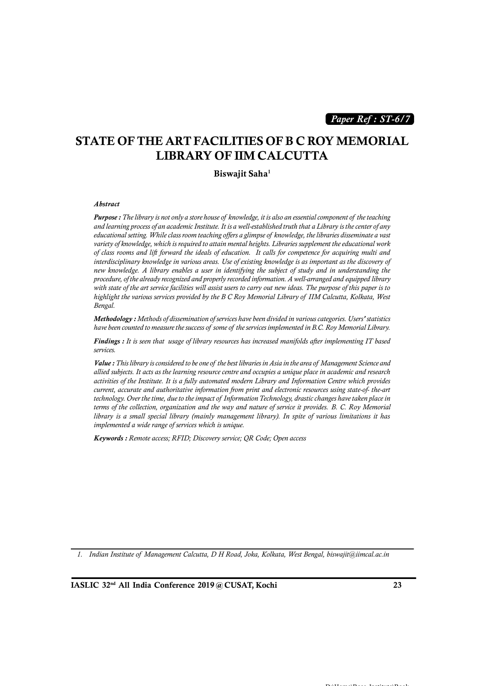*Paper Ref : ST-6/7*

### **STATE OF THE ART FACILITIES OF B C ROY MEMORIAL LIBRARY OF IIM CALCUTTA**

**Biswajit Saha<sup>1</sup>**

#### *Abstract*

*Purpose : The library is not only a store house of knowledge, it is also an essential component of the teaching*<br>*Purpose : The library is not only a store house of knowledge, it is also an essential component of the teac and learning process of an academic Institute. It is a well-established truth that a Library is the center of any Abstract*<br>*Purpose : The library is not only a store house of knowledge, it is also an essential component of the teaching*<br>and learning process of an academic Institute. It is a well-established truth that a Library is t *variety of knowledge, which is required to attain mental heights. Libraries supplement the educational work of class rooms and lift forward the ideals of education. It calls for competence for acquiring multi and interdisciplinary knowledge in various areas. Use of existing knowledge is as important as the discovery of new knowledge. A library enables a user in identifying the subject of study and in understanding the procedure, of the already recognized and properly recorded information. A well-arranged and equipped library with state of the art service facilities will assist users to carry out new ideas. The purpose of this paper is to of class rooms and lift forward the ideals of education. It calls for competence for acquiring multi and interdisciplinary knowledge in various areas. Use of existing knowledge is as important as the discovery of new know Bengal. have have been counted to measure facilities will assist users to carry out new ideas. The purpose of this paper is to highlight the various services provided by the B C Roy Memorial Library of IIM Calcutta, Kolkata, West* 

*Methodology : Methods of dissemination of services have been divided in various categories. Users' statistics*

*Findings : It is seen that usage of library resources has increased manifolds after implementing IT based services.*

*Methodology : Methods of dissemination of services have been divided in various categories. Users' statistics*<br>*have been counted to measure the success of some of the services implemented in B.C. Roy Memorial Library.*<br> *allied subjects. It acts as the learning resource centre and occupies a unique place in academic and research activities of the Institute. It is a fully automated modern Library and Information Centre which provides current, accurate and authoritative information from print and electronic resources using state-of- the-art Value : This library is considered to be one of the best libraries in Asia in the area of Management Science and allied subjects. It acts as the learning resource centre and occupies a unique place in academic and resear terms of the collection, organization and the way and nature of service it provides. B. C. Roy Memorial library is a small special library (mainly management library). In spite of various limitations it has implemented a wide range of services which is unique.*

*Keywords : Remote access; RFID; Discovery service; QR Code; Open access*

*1. Indian Institute of Management Calcutta, D H Road, Joka, Kolkata, West Bengal, biswajit@iimcal.ac.in*

**IASLIC 32nd All India Conference 2019 @ CUSAT, Kochi 23**

 $\mathbf{D} \cdot \mathbf{H}$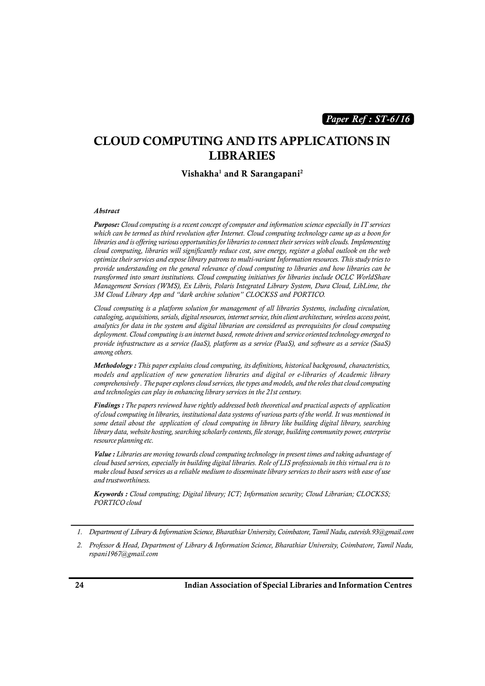*Paper Ref : ST-6/16*

## **CLOUD COMPUTING AND ITS APPLICATIONS IN LIBRARIES**

#### **Vishakha<sup>1</sup> and R Sarangapani<sup>2</sup>**

#### *Abstract*

*Purpose: Cloud computing is a recent concept of computer and information science especially in IT services which can be termed as third revolution after Internet. Cloud computing technology came up as a boon for libraries and is offering various opportunities for libraries to connect their services with clouds. Implementing cloud computing, libraries will significantly reduce cost, save energy, register a global outlook on the web optimize their services and expose library patrons to multi-variant Information resources. This study tries to provide understanding on the general relevance of cloud computing to libraries and how libraries can be transformed into smart institutions. Cloud computing initiatives for libraries include OCLC WorldShare Management Services (WMS), Ex Libris, Polaris Integrated Library System, Dura Cloud, LibLime, the 3M Cloud Library App and "dark archive solution" CLOCKSS and PORTICO.*

*Cloud computing is a platform solution for management of all libraries Systems, including circulation, cataloging, acquisitions, serials, digital resources, internet service, thin client architecture, wireless access point, analytics for data in the system and digital librarian are considered as prerequisites for cloud computing deployment. Cloud computing is an internet based, remote driven and service oriented technology emerged to provide infrastructure as a service (IaaS), platform as a service (PaaS), and software as a service (SaaS) among others.*

*Methodology : This paper explains cloud computing, its definitions, historical background, characteristics, models and application of new generation libraries and digital or e-libraries of Academic library comprehensively . The paper explores cloud services, the types and models, and the roles that cloud computing and technologies can play in enhancing library services in the 21st century. Methodology : This paper explains cloud computing, its definitions, historical background, characteristics, models and application of new generation libraries and digital or e-libraries of Academic library comprehensively* 

*of cloud computing in libraries, institutional data systems of various parts of the world. It was mentioned in somprehensively . The paper explores cloud services, the types and models, and the roles that cloud computing*<br>and technologies can play in enhancing library services in the 21st century.<br>**Findings :** The papers reviewed *library data, website hosting, searching scholarly contents, file storage, building community power, enterprise resource planning etc.*

*Value : Libraries are moving towards cloud computing technology in present times and taking advantage of cloud based services, especially in building digital libraries. Role of LIS professionals in this virtual era is to make cloud based services as a reliable medium to disseminate library services to their users with ease of use and trustworthiness.*

*Keywords : Cloud computing; Digital library; ICT; Information security; Cloud Librarian; CLOCKSS; PORTICO cloud 1. Department of Library & Information Science, Bharathiar University, Cloud Librarian; CLOCKSS;*<br>1. *Department of Library & Information Science, Bharathiar University, Coimbatore, Tamil Nadu, cutevish.93@gmail.com*<br>2.

*2. Professor & Head, Department of Library & Information Science, Bharathiar University, Coimbatore, Tamil Nadu, rspani1967@gmail.com*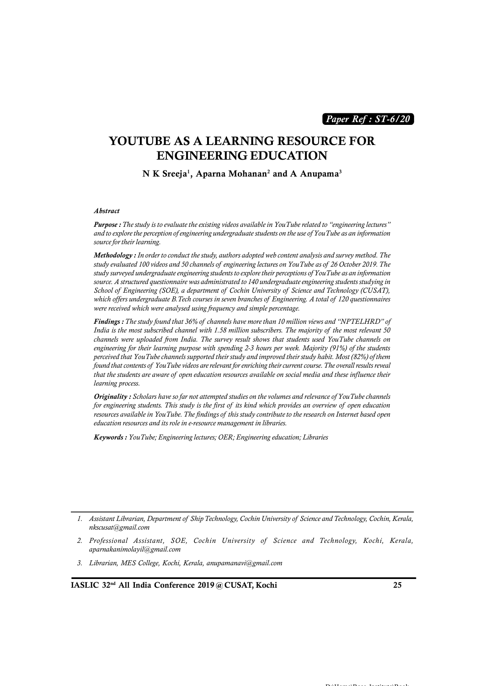*Paper Ref : ST-6/20*

### **YOUTUBE AS A LEARNING RESOURCE FOR ENGINEERING EDUCATION**

**N K Sreeja1, Aparna Mohanan<sup>2</sup> and A Anupama<sup>3</sup>**

#### *Abstract*

*Purpose : The study is to evaluate the existing videos available in YouTube related to "engineering lectures" and to explore the perception of engineering undergraduate students on the use of YouTube as an information source for their learning.*

*Methodology : In order to conduct the study, authors adopted web content analysis and survey method. The* **Purpose :** The study is to evaluate the existing videos available in YouTube related to "engineering lectures" and to explore the perception of engineering undergraduate students on the use of YouTube as an information so *study surveyed undergraduate engineering students to explore their perceptions of YouTube as an information source. A structured questionnaire was administrated to 140 undergraduate engineering students studying in Methodology : In order to conduct the study, authors adopted web content analysis and survey method. The study evaluated 100 videos and 50 channels of engineering lectures on YouTube as of 26 October 2019. The study surve Methodology* : In order to conduct the study, authors adopted web content analysis and survey method. The study evaluated 100 videos and 50 channels of engineering lectures on YouTube as of 26 October 2019. The study surv *were received which were analysed using frequency and simple percentage. Findings : The structured questionnaire was administrated to 140 undergraduate engineering students studying in*<br>*School of Engineering (SOE), a department of Cochin University of Science and Technology (CUSAT),*<br>*which o* 

*School of Engineering (SOE), a department of Cochin University of Science and Technology (CUSAT),*<br>which offers undergraduate B.Tech courses in seven branches of Engineering. A total of 120 questionnaires<br>were received wh *channels were uploaded from India. The survey result shows that students used YouTube channels on engineering for their learning purpose with spending 2-3 hours per week. Majority (91%) of the students perceived that YouTube channels supported their study and improved their study habit. Most (82%) of them <i>f* indings : The study found that 36% of channels have more than 10 million views and "NPTELHRD" of India is the most subscribed channel with 1.58 million subscribers. The majority of the most relevant 50 channels wer *that is the most subscribed channel with 1.38 million subscribers. The majority of the most relevant 50* channels were uploaded from India. The survey result shows that students used YouTube channels on engineering for th *learning process. found that contents of YouTube videos are relevant for enriching their current course. The overall results reveal<br>that the students are aware of open education resources available on social media and these influence their* 

*Originality : Scholars have so far not attempted studies on the volumes and relevance of YouTube channels rhat the students are aware of open education resources available on social media and these influence their*<br>*Priginality : Scholars have so far not attempted studies on the volumes and relevance of YouTube channels*<br>*for education resources and its role in e-resource management in libraries.*

*Keywords : YouTube; Engineering lectures; OER; Engineering education; Libraries*

- *2. Professional Assistant, SOE, Cochin University of Science and Technology, Kochi, Kerala, aparnakanimolayil@gmail.com*
- *3. Librarian, MES College, Kochi, Kerala, anupamanavi@gmail.com*

 $\mathbf{D} \cdot \mathbf{H}$ 

*<sup>1.</sup> Assistant Librarian, Department of Ship Technology, Cochin University of Science and Technology, Cochin, Kerala, nkscusat@gmail.com*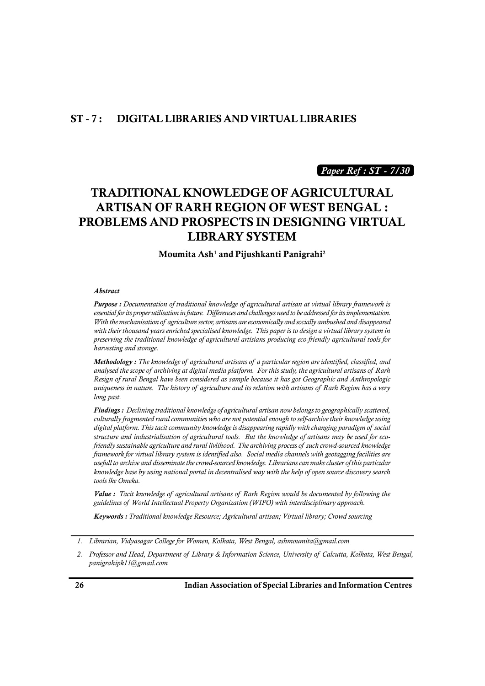### **ST - 7 : DIGITAL LIBRARIES AND VIRTUAL LIBRARIES**

*Paper Ref : ST - 7/30*

# **TRADITIONAL KNOWLEDGE OF AGRICULTURAL ARTISAN OF RARH REGION OF WEST BENGAL : PROBLEMS AND PROSPECTS IN DESIGNING VIRTUAL LIBRARY SYSTEM**

**Moumita Ash<sup>1</sup> and Pijushkanti Panigrahi<sup>2</sup>**

#### *Abstract*

*Purpose : Documentation of traditional knowledge of agricultural artisan at virtual library framework is essential for its proper utilisation in future. Differences and challenges need to be addressed for its implementation.* **Abstract**<br>**Purpose :** Documentation of traditional knowledge of agricultural artisan at virtual library framework is<br>essential for its proper utilisation in future. Differences and challenges need to be addressed for its *preserving the traditional knowledge of agricultural artisians producing eco-friendly agricultural tools for harvesting and storage. With the mechanisation of agriculture sector, artisans are economically and socially ambushed and disappeared* with their thousand years enriched specialised knowledge. This paper is to design a virtual library system in

*and their thousand years enriched specialised knowledge. This paper is to design a virtual library system in* preserving the traditional knowledge of agricultural artisians producing eco-friendly agricultural tools for ha *Resign of rural Bengal have been considered as sample because it has got Geographic and Anthropologic unity* and storage.<br> *Methodology* : The knowledge of agricultural artisans of a particular region are identified, classified, and<br>
analysed the scope of archiving at digital media platform. For this study, the agricultur *long past.*

*Findings : Declining traditional knowledge of agricultural artisan now belongs to geographically scattered, culturally fragmented rural communities who are not potential enough to self-archive their knowledge using digital platform. The history of agriculture and its relation with artisans of Rarh Region has a very*<br>long past.<br>**Findings :** Declining traditional knowledge of agricultural artisan now belongs to geographically scattere *structure and industrialisation of agricultural tools. But the knowledge of artisans may be used for ecofindings: Declining traditional knowledge of agricultural artisan now belongs to geographically scattered,* **culturally fragmented rural communities who are not potential enough to self-archive their knowledge using digit** *framework for virtual library system is identified also. Social media channels with geotagging facilities are usefull to archive and disseminate the crowd-sourced knowledge. Librarians can make cluster of this particular knowledge base by using national portal in decentralised way with the help of open source discovery search tools lke Omeka. framework for virtual library system is identified also. Social media channels with geotagging facilities are* usefull to archive and disseminate the crowd-sourced knowledge. Librarians can make cluster of this particular *guidelit to archive and disseminate the crowd-sourced knowledge. Librarians can make cluster of this partic* knowledge base by using national portal in decentralised way with the help of open source discovery set tools lk

*Keywords : Traditional knowledge Resource; Agricultural artisan; Virtual library; Crowd sourcing*

*<sup>1.</sup> Librarian, Vidyasagar College for Women, Kolkata, West Bengal, ashmoumita@gmail.com*

*<sup>2.</sup> Professor and Head, Department of Library & Information Science, University of Calcutta, Kolkata, West Bengal, panigrahipk11@gmail.com*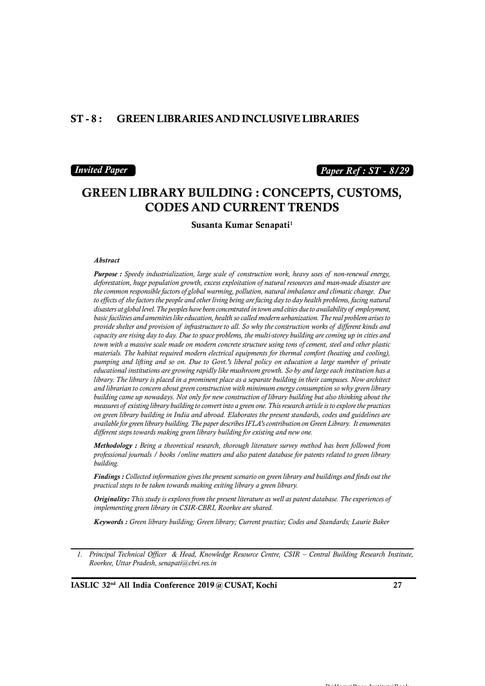### **ST - 8 : GREEN LIBRARIES AND INCLUSIVE LIBRARIES**

#### *Invited Paper*

### *Paper Ref : ST - 8/29*

### **GREEN LIBRARY BUILDING : CONCEPTS, CUSTOMS, CODES AND CURRENT TRENDS**

**Susanta Kumar Senapati<sup>1</sup>**

#### *Abstract*

*Purpose : Speedy industrialization, large scale of construction work, heavy uses of non-renewal energy, deforestation, huge population growth, excess exploitation of natural resources and man-made disaster are the common responsible factors of global warming, pollution, natural imbalance and climatic change. Due Abstract*<br>**Purpose :** Speedy industrialization, large scale of construction work, heavy uses of non-renewal energy,<br>deforestation, huge population growth, excess exploitation of natural resources and man-made disaster are *Purpose : Speedy industrialization, large scale of construction work, heavy uses of non-renewal energy, deforestation, huge population growth, excess exploitation of natural resources and man-made disaster are the common basic facilities and amenities like education, health so called modern urbanization. The real problem arises to deforestation, huge population growth, excess exploitation of natural resources and man-made disaster are* the common responsible factors of global warming, pollution, natural imbalance and climatic change. Due to effects *capacity are rising day to day. Due to space problems, the multi-storey building are coming up in cities and town with a massive scale made on modern concrete structure using tons of cement, steel and other plastic materials. The habitat required modern electrical equipments for thermal comfort (heating and cooling), basic facilities and amenities like education, health so called modern urbanization. The real problem arises to*<br>provide shelter and provision of infrastructure to all. So why the construction works of different kinds and *educational institutions are growing rapidly like mushroom growth. So by and large each institution has a library. The library is placed in a prominent place as a separate building in their campuses. Now architect and librarian to concern about green construction with minimum energy consumption so why green library building came up nowadays. Not only for new construction of library building but also thinking about the pumping and lifting and so on. Due to Govt.'s liberal policy on education a large number of private educational institutions are growing rapidly like mushroom growth. So by and large each institution has a library. The li on green library building in India and abroad. Elaborates the present standards, codes and guidelines are available for green library building. The paper describes IFLA's contribution on Green Library. It enumerates different steps towards making green library building for existing and new one.*

*Methodology : Being a theoretical research, thorough literature survey method has been followed from professional journals / books /online matters and also patent database for patents related to green library building.*

*Findings : Collected information gives the present scenario on green library and buildings and finds out the practical steps to be taken towards making exiting library a green library.*

*Originality: This study is explores from the present literature as well as patent database. The experiences of implementing green library in CSIR-CBRI, Roorkee are shared.*

*Keywords : Green library building; Green library; Current practice; Codes and Standards; Laurie Baker*

*1. Principal Technical Officer & Head, Knowledge Resource Centre, CSIR – Central Building Research Institute, Roorkee, Uttar Pradesh, senapati@cbri.res.in*

**IASLIC 32nd All India Conference 2019 @ CUSAT, Kochi 27**

 $\mathbf{D} \cdot \mathbf{H}$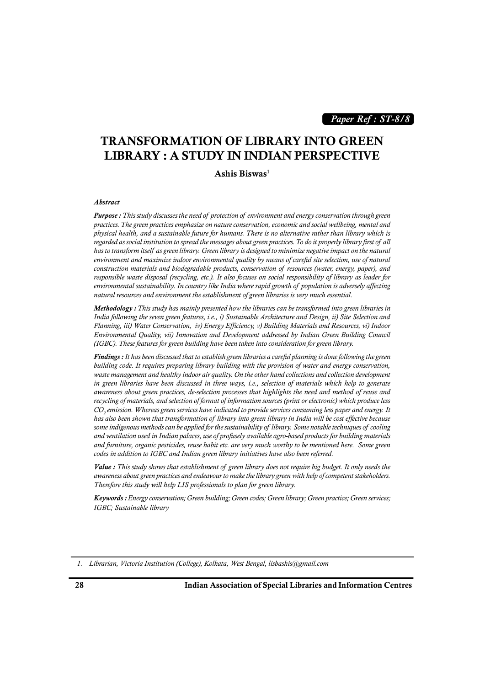*Paper Ref : ST-8/8*

# **TRANSFORMATION OF LIBRARY INTO GREEN LIBRARY : A STUDY IN INDIAN PERSPECTIVE**

#### **Ashis Biswas<sup>1</sup>**

#### *Abstract*

Ashis Biswas<sup>1</sup><br>Abstract<br>Purpose : This study discusses the need of protection of environment and energy conservation through green<br>practices. The green practices emphasize on nature conservation, economic and social wellb *physical health, and a sustainable future for humans. There is no alternative rather than library which is Purpose : This study discusses the need of protection of environment and energy conservation through green practices. The green practices emphasize on nature conservation, economic and social wellbeing, mental and physic Purpose : This study discusses the need of protection of environment and energy conservation through green practices. The green practices emphasize on nature conservation, economic and social wellbeing, mental and physic environment and maximize indoor environmental quality by means of careful site selection, use of natural* practices. The green practices emphasize on nature conservation, economic and social wellbeing, mental and<br>physical health, and a sustainable future for humans. There is no alternative rather than library which is<br>regarded *responsible waste disposal (recycling, etc.). It also focuses on social responsibility of library as leader for regarded as social institution to spread the messages about green practices. To do it properly library first of all*<br>*has to transform itself as green library. Green library is designed to minimize negative impact on the natural resources and environment the establishment of green libraries is very much essential.*

*Methodology : This study has mainly presented how the libraries can be transformed into green libraries in India following the seven green features, i.e., i) Sustainable Architecture and Design, ii) Site Selection and Planning, iii) Water Conservation, iv) Energy Efficiency, v) Building Materials and Resources, vi) Indoor Environmental Quality, vii) Innovation and Development addressed by Indian Green Building Council (IGBC). These features for green building have been taken into consideration for green library.*

*Findings : It has been discussed that to establish green libraries a careful planning is done following the green building code. It requires preparing library building with the provision of water and energy conservation, waste management and healthy indoor air quality. On the other hand collections and collection development in green libraries have been discussed in three ways, i.e., selection of materials which help to generate awareness about green practices, de-selection processes that highlights the need and method of reuse and recycling of materials, and selection of format of information sources (print or electronic) which produce less CO<sup>2</sup> emission. Whereas green services have indicated to provide services consuming less paper and energy. It maste management and healthy mdoor air quality. On the other hand collections and collection development* in green libraries have been discussed in three ways, *i.e.*, selection of materials which help to generate awarene *in green libraries have been discussed in three ways, i.e., selection of materials which help to generate* awareness about green practices, de-selection processes that highlights the need and method of reuse and recycling *and ventilation used in Indian palaces, use of profusely available agro-based products for building materials and furniture, organic pesticides, reuse habit etc. are very much worthy to be mentioned here. Some green codes in addition to IGBC and Indian green library initiatives have also been referred. Some indigenous methods can be applied for the sustainability of library. Some notable techniques of cooling* and ventilation used in Indian palaces, use of profusely available agro-based products for building materials a

*awareness about green practices and endeavour to make the library green with help of competent stakeholders. Therefore this study will help LIS professionals to plan for green library.*

*Keywords : Energy conservation; Green building; Green codes; Green library; Green practice; Green services; IGBC; Sustainable library*

*1. Librarian, Victoria Institution (College), Kolkata, West Bengal, lisbashis@gmail.com*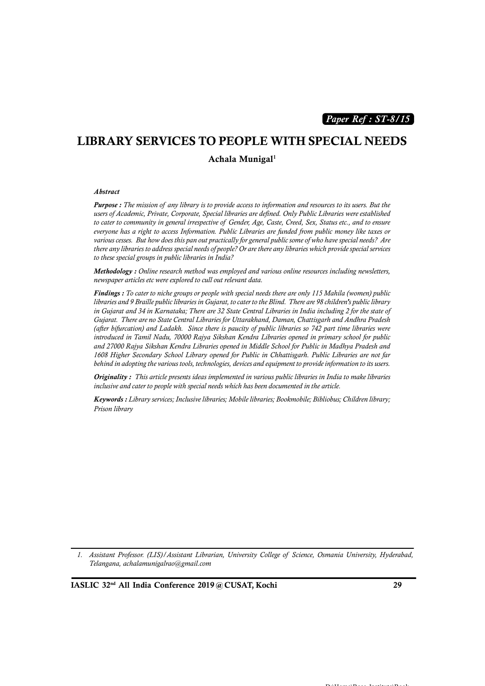*Paper Ref : ST-8/15*

# **LIBRARY SERVICES TO PEOPLE WITH SPECIAL NEEDS**

**Achala Munigal<sup>1</sup>**

#### *Abstract*

Abstract<br>Purpose : The mission of any library is to provide access to information and resources to its users. But the<br>users of Academic, Private, Corporate, Special libraries are defined. Only Public Libraries were establi *Purpose*: The mission of any library is to provide access to information and resources to its users. But the users of Academic, Private, Corporate, Special libraries are defined. Only Public Libraries were established to *everyone has a right to access Information. Public Libraries are funded from public money like taxes or various cesses. But how does this pan out practically for general public some of who have special needs? Are there any libraries to address special needs of people? Or are there any libraries which provide special services to these special groups in public libraries in India?*

*Methodology : Online research method was employed and various online resources including newsletters, newspaper articles etc were explored to cull out relevant data.*

*Findings : To cater to niche groups or people with special needs there are only 115 Mahila (women) public libraries and 9 Braille public libraries in Gujarat, to cater to the Blind. There are 98 children's public library in Gujarat and 34 in Karnataka; There are 32 State Central Libraries in India including 2 for the state of Gujarat. There are no State Central Libraries for Uttarakhand, Daman, Chattisgarh and Andhra Pradesh (after bifurcation) and Ladakh. Since there is paucity of public libraries so 742 part time libraries were introduced in Tamil Nadu, 70000 Rajya Sikshan Kendra Libraries opened in primary school for public and 27000 Rajya Sikshan Kendra Libraries opened in Middle School for Public in Madhya Pradesh and 1608 Higher Secondary School Library opened for Public in Chhattisgarh. Public Libraries are not far behind in adopting the various tools, technologies, devices and equipment to provide information to its users.*

*Originality : This article presents ideas implemented in various public libraries in India to make libraries inclusive and cater to people with special needs which has been documented in the article.*

*Keywords : Library services; Inclusive libraries; Mobile libraries; Bookmobile; Bibliobus; Children library; Prison library*

*1. Assistant Professor. (LIS)/Assistant Librarian, University College of Science, Osmania University, Hyderabad, Telangana, achalamunigalrao@gmail.com*

**IASLIC 32nd All India Conference 2019 @ CUSAT, Kochi 29**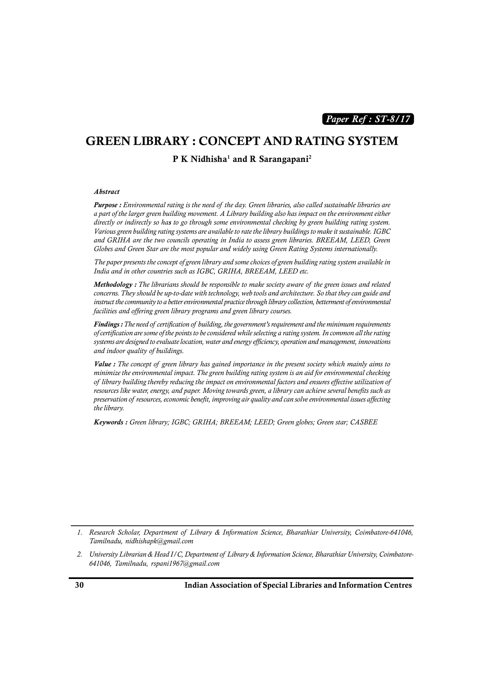*Paper Ref : ST-8/17*

### **GREEN LIBRARY : CONCEPT AND RATING SYSTEM**

**P K Nidhisha<sup>1</sup> and R Sarangapani<sup>2</sup>**

#### *Abstract*

TRIMINISHA ANDRI SATANGAPAHI<br>Abstract<br>Purpose : Environmental rating is the need of the day. Green libraries, also called sustainable libraries are<br>a part of the larger green building movement. A Library building also has *directly or indirectly so has to go through some environmental checking by green building rating system. Various green building rating systems are available to rate the library buildings to make it sustainable. IGBC and GRIHA are the two councils operating in India to assess green libraries. BREEAM, LEED, Green Globes and Green Star are the most popular and widely using Green Rating Systems internationally.*

*The paper presents the concept of green library and some choices of green building rating system available in India and in other countries such as IGBC, GRIHA, BREEAM, LEED etc.*

and GRIHA are the two councits operating in India to assess green libraries. BREEAM, LEED, Green<br>Globes and Green Star are the most popular and widely using Green Rating Systems internationally.<br>The paper presents the conc *concerns. They should be up-to-date with technology, web tools and architecture. So that they can guide and instruct the community to a better environmental practice through library collection, betterment of environmental facilities and offering green library programs and green library courses. Methodology* : *The librarians should be responsible to make society aware of the green issues and related concerns. They should be up-to-date with technology, web tools and architecture. So that they can guide and instru* 

*of certification are some of the points to be considered while selecting a rating system. In common all the rating systems are designed to evaluate location, water and energy efficiency, operation and management, innovations and indoor quality of buildings. Findings*: The need of certification of building, the government's requirement and the minimum requirements of certification are some of the points to be considered while selecting a rating system. In common all the rati

*minimize the environmental impact. The green building rating system is an aid for environmental checking systems are designed to evaluate location, water and energy efficiency, operation and management, innovations*<br>and indoor quality of buildings.<br>**Value :** The concept of green library has gained importance in the present s *resources like water, energy, and paper. Moving towards green, a library can achieve several benefits such as Value* : The concept of green library has gained importance in the present society which mainly aims to minimize the environmental impact. The green building rating system is an aid for environmental checking of library b *the library.*

*Keywords : Green library; IGBC; GRIHA; BREEAM; LEED; Green globes; Green star; CASBEE*

*<sup>1.</sup> Research Scholar, Department of Library & Information Science, Bharathiar University, Coimbatore-641046, Tamilnadu, nidhishapk@gmail.com* 2. *Research Scholar, Department of Library & Information Science, Bharathiar University, Coimbatore-641046*, Tamilnadu, nidhishapk@gmail.com<br>2. *University Librarian & Head I/C, Department of Library & Information Science* 

*<sup>641046,</sup> Tamilnadu, rspani1967@gmail.com*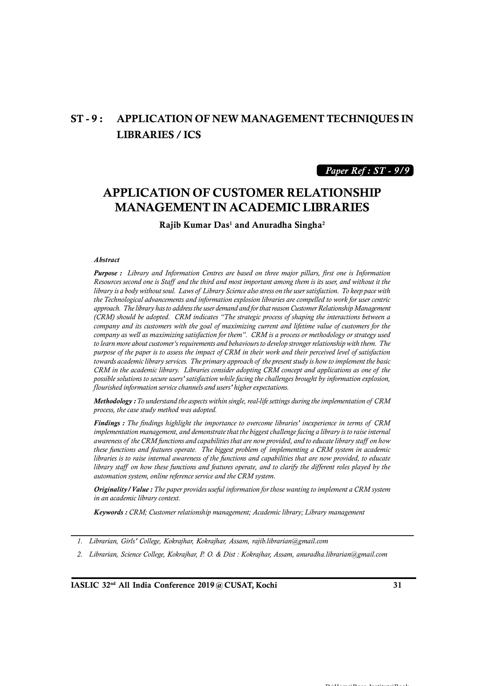# **ST - 9 : APPLICATION OF NEW MANAGEMENT TECHNIQUES IN LIBRARIES / ICS**

### *Paper Ref : ST - 9/9*

### **APPLICATION OF CUSTOMER RELATIONSHIP MANAGEMENT IN ACADEMIC LIBRARIES**

**Rajib Kumar Das<sup>1</sup> and Anuradha Singha<sup>2</sup>**

#### *Abstract*

*Purpose : Library and Information Centres are based on three major pillars, first one is Information Abstract*<br>*Purpose : Library and Information Centres are based on three major pillars, first one is Information*<br>*Resources second one is Staff and the third and most important among them is its user, and without it the*<br> *<i>Abstract*<br>*Purpose : Library and Information Centres are based on three major pillars, first one is Information Resources second one is Staff and the third and most important among them is its user, and without it the the Technological advancements and information explosion libraries are compelled to work for user centric approach. The library has to address the user demand and for that reason Customer Relationship Management (CRM) should be adopted. CRM indicates "The strategic process of shaping the interactions between a company and its customers with the goal of maximizing current and lifetime value of customers for the company as well as maximizing satisfaction for them". CRM is a process or methodology or strategy used to learn more about customer's requirements and behaviours to develop stronger relationship with them. The purpose of the paper is to assess the impact of CRM in their work and their perceived level of satisfaction (CRM) should be adopted. CRM indicates "The strategic process of shaping the interactions between a* company and its customers with the goal of maximizing current and lifetime value of customers for the company as well as *COMPany and its customers with the goal of maximizing current and lifetime value of customers for the*<br> *COMPany as well as maximizing satisfaction for them*". CRM is a process or methodology or strategy used<br>
to learn mo *possible solutions to secure users' satisfaction while facing the challenges brought by information explosion, flourished information service channels and users' higher expectations. Methodology : To understand the primary approach of the present study is how to implement the basic* CRM in the academic library. Libraries consider adopting CRM concept and applications as one of the possible solutions t

*process, the case study method was adopted.*

possible solutions to secure users' satisfaction while facing the challenges brought by information explosion,<br>*flourished information service channels and users' higher expectations.*<br>**Methodology :** To understand the asp *implementation management, and demonstrate that the biggest challenge facing a library is to raise internal Methodology* : To understand the aspects within single, real-life settings during the implementation of CRM process, the case study method was adopted.<br>**Findings** : The findings highlight the importance to overcome librar *the case study method was adopted.*<br> **Findings** : The findings highlight the importance to overcome libraries' inexperience in terms of CRM<br> *implementation management, and demonstrate that the biggest challenge facing a libraries is to raise internal awareness of the functions and capabilities that are now provided, to educate lindings : The findings highlight the importance to overcome libraries' inexperience in terms of CRM* **implementation management, and demonstrate that the biggest challenge facing a library is to raise internal awareness** *automation system, online reference service and the CRM system.*

*Originality/Value : The paper provides useful information for those wanting to implement a CRM system in an academic library context.*

*Keywords : CRM; Customer relationship management; Academic library; Library management*

- *1. Librarian, Girls' College, Kokrajhar, Kokrajhar, Assam, rajib.librarian@gmail.com*
- *2. Librarian, Science College, Kokrajhar, P. O. & Dist : Kokrajhar, Assam, anuradha.librarian@gmail.com*

 $\mathbf{D} \cdot \mathbf{H}$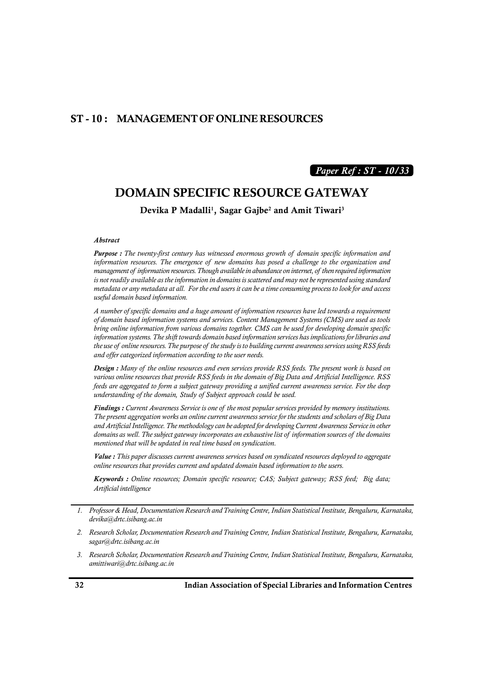### **ST - 10 : MANAGEMENT OF ONLINE RESOURCES**

### *Paper Ref : ST - 10/33*

### **DOMAIN SPECIFIC RESOURCE GATEWAY**

**Devika P Madalli1, Sagar Gajbe<sup>2</sup> and Amit Tiwari<sup>3</sup>**

#### *Abstract*

*Purpose : The twenty-first century has witnessed enormous growth of domain specific information and <i>Abstract*<br>*Purpose : The twenty-first century has witnessed enormous growth of domain specific information and information resources. The emergence of new domains has posed a challenge to the organization and managemen Abstract*<br>*Purpose : The twenty-first century has witnessed enormous growth of domain specific information and information resources. The emergence of new domains has posed a challenge to the organization and management o is not readily available as the information in domains is scattered and may not be represented using standard metadata or any metadata at all. For the end users it can be a time consuming process to look for and access useful domain based information.*

*A number of specific domains and a huge amount of information resources have led towards a requirement of domain based information systems and services. Content Management Systems (CMS) are used as tools bring online information from various domains together. CMS can be used for developing domain specific information systems. The shift towards domain based information services has implications for libraries and A number of specific domains and a huge amount of information resources have led towards a requirement* of domain based information systems and services. Content Management Systems (CMS) are used as tools bring online inf *and offer categorized information according to the user needs. Design in the information from various domains together. CMS can be used for developing domain specific* information systems. The shift towards domain based information services has implications for libraries and the use

*various online resources that provide RSS feeds in the domain of Big Data and Artificial Intelligence. RSS feeds are aggregated to form a subject gateway providing a unified current awareness service. For the deep understanding of the domain, Study of Subject approach could be used.* **Design :** Many of the online resources and even services provide RSS feeds. The present work is based on various online resources that provide RSS feeds in the domain of Big Data and Artificial Intelligence. RSS feeds are

*and Artificial Intelligence. The methodology can be adopted for developing Current Awareness Service in other dimendum of the domain, Study of Subject approach could be used.*<br> **Findings :** Current Awareness Service is one of the most popular services provided by memory institutions.<br> *The present aggregation works an online curr mentioned that will be updated in real time based on syndication.*

*Value : This paper discusses current awareness services based on syndicated resources deployed to aggregate online resources that provides current and updated domain based information to the users.*

*Keywords : Online resources; Domain specific resource; CAS; Subject gateway; RSS feed; Big data; Artificial intelligence*

- *2. Research Scholar, Documentation Research and Training Centre, Indian Statistical Institute, Bengaluru, Karnataka, sagar@drtc.isibang.ac.in*
- *3. Research Scholar, Documentation Research and Training Centre, Indian Statistical Institute, Bengaluru, Karnataka, amittiwari@drtc.isibang.ac.in*

*<sup>1.</sup> Professor & Head, Documentation Research and Training Centre, Indian Statistical Institute, Bengaluru, Karnataka, devika@drtc.isibang.ac.in*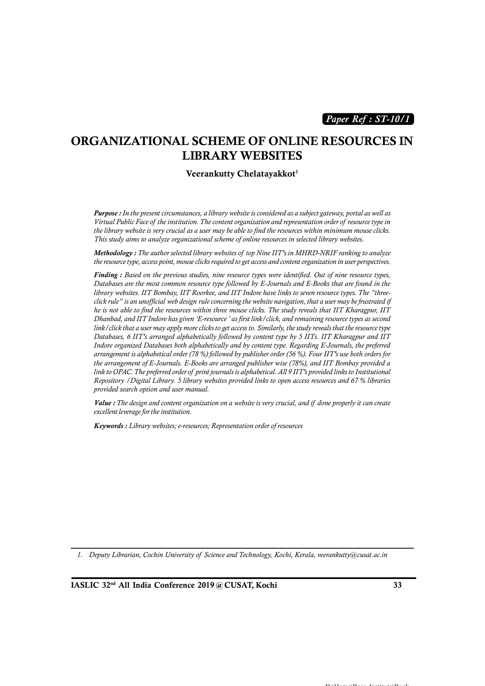*Paper Ref : ST-10/1*

### **ORGANIZATIONAL SCHEME OF ONLINE RESOURCES IN LIBRARY WEBSITES**

#### **Veerankutty Chelatayakkot<sup>1</sup>**

*Purpose : In the present circumstances, a library website is considered as a subject gateway, portal as well as Virtual Public Face of the institution. The content organization and representation order of resource type in the library website is very crucial as a user may be able to find the resources within minimum mouse clicks. This study aims to analyze organizational scheme of online resources in selected library websites.* **Purpose :** In the present circumstances, a library website is considered as a subject gateway, portal as well as<br>Virtual Public Face of the institution. The content organization and representation order of resource type i

*Finding : Based on the previous studies, nine resource types were identified. Out of nine resource types, Databases are the most common resource type followed by E-Journals and E-Books that are found in the library websites. IIT Bombay, IIT Roorkee, and IIT Indore have links to seven resource types. The "threeclick rule" is an unofficial web design rule concerning the website navigation, that a user may be frustrated if he is not able to find the resources within three mouse clicks. The study reveals that IIT Kharagpur, IIT Dhanbad, and IIT Indore has given 'E-resource ' as first link/click, and remaining resource types as second link/click that a user may apply more clicks to get access to. Similarly, the study reveals that the resource type Databases, 6 IIT's arranged alphabetically followed by content type by 5 IITs. IIT Kharagpur and IIT Indore organized Databases both alphabetically and by content type. Regarding E-Journals, the preferred arrangement is alphabetical order (78 %) followed by publisher order (56 %). Four IIT's use both orders for the arrangement of E-Journals. E-Books are arranged publisher wise (78%), and IIT Bombay provided a link/click that a user may apply more clicks to get access to. Similarly, the study reveals that the resource type*<br>Databases, 6 IIT's arranged alphabetically followed by content type by 5 IITs. IIT Kharagpur and IIT<br>Indo *Repository /Digital Library. 5 library websites provided links to open access resources and 67 % libraries provided search option and user manual. Value in to OPAC. The preferred order of print journals is alphabetical. All 9 IIT's provided links to Institutional*<br>*Repository / Digital Library. 5 library websites provided links to open access resources and 67 % libr* 

*excellent leverage for the institution.*

*Keywords : Library websites; e-resources; Representation order of resources*

*1. Deputy Librarian, Cochin University of Science and Technology, Kochi, Kerala, veerankutty@cusat.ac.in*

 $\mathbf{D} \cdot \mathbf{H}$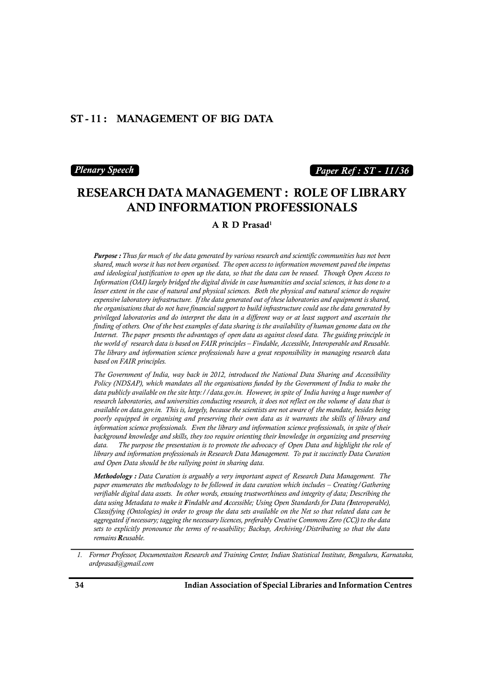### **ST - 11 : MANAGEMENT OF BIG DATA**

#### *Plenary Speech*

### *Paper Ref : ST - 11/36*

# **RESEARCH DATA MANAGEMENT : ROLE OF LIBRARY AND INFORMATION PROFESSIONALS**

**A R D Prasad<sup>1</sup>**

*Purpose : Thus far much of the data generated by various research and scientific communities has not been shared, much worse it has not been organised. The open access to information movement paved the impetus and ideological justification to open up the data, so that the data can be reused. Though Open Access to Information (OAI) largely bridged the digital divide in case humanities and social sciences, it has done to a lesser extent in the case of natural and physical sciences. Both the physical and natural science do require expensive laboratory infrastructure. If the data generated out of these laboratories and equipment is shared, the organisations that do not have financial support to build infrastructure could use the data generated by privileged laboratories and do interpret the data in a different way or at least support and ascertain the finding of others. One of the best examples of data sharing is the availability of human genome data on the Iesser extent in the case of natural and physical sciences. Both the physical and natural science do require*<br>expensive laboratory infrastructure. If the data generated out of these laboratories and equipment is shared,<br>t *expensive laboratory infrastructure.* If the data generated out of these laboratories and equipment is shared, the organisations that do not have financial support to build infrastructure could use the data generated by p *The library and information science professionals have a great responsibility in managing research data based on FAIR principles.*

*The Government of India, way back in 2012, introduced the National Data Sharing and Accessibility Policy (NDSAP), which mandates all the organisations funded by the Government of India to make the The library and information science professionals have a great responsibility in managing research data* based on *FAIR principles.*<br>*Dased on FAIR principles.*<br>*The Government of India, way back in 2012, introduced the N research IR principles.*<br> *reflection The Government of India, way back in 2012, introduced the National Data Sharing and Accessibility*<br> *Policy (NDSAP), which mandates all the organisations funded by the Government of I The Government of India, way back in 2012, introduced the National Data Sharing and Accessibility Policy (NDSAP), which mandates all the organisations funded by the Government of India to make the data publicly available poorly equipped in organising and preserving their own data as it warrants the skills of library and information science professionals. Even the library and information science professionals, in spite of their background knowledge and skills, they too require orienting their knowledge in organizing and preserving research laboratories, and universities conducting research, it does not reflect on the volume of data that is available on data.gov.in.* This is, *largely, because the scientists are not aware of the mandate, besides b library and information professionals in Research Data Management. To put it succinctly Data Curation and Open Data should be the rallying point in sharing data. Methodology is and skills, they too require orienting their knowledge in organizing and preserving*<br> *Methodology : Data Curation is to promote the advocacy of Open Data and highlight the role of*<br> *library and informatio* 

*verifiable digital data assets. In other words, ensuing trustworthiness and integrity of data; Describing the data using Metadata to make it Findable and Accessible; Using Open Standards for Data (Interoperable), Classifying (Ontologies) in order to group the data sets available on the Net so that related data can be aggregated if necessary; tagging the necessary licences, preferably Creative Commons Zero (CC)) to the data sets to explicitly pronounce the terms of re-usability; Backup, Archiving/Distributing so that the data remains Reusable.*

*<sup>1.</sup> Former Professor, Documentaiton Research and Training Center, Indian Statistical Institute, Bengaluru, Karnataka, ardprasad@gmail.com*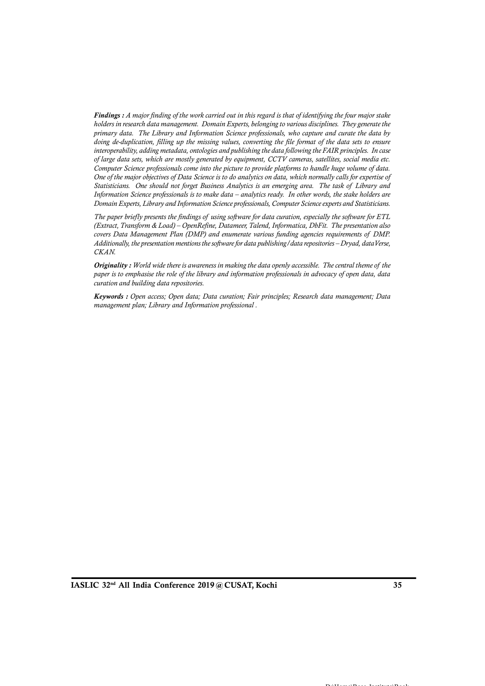*Findings : A major finding of the work carried out in this regard is that of identifying the four major stake holders in research data management. Domain Experts, belonging to various disciplines. They generate the primary data. The Library and Information Science professionals, who capture and curate the data by doing de-duplication, filling up the missing values, converting the file format of the data sets to ensure interoperability, adding metadata, ontologies and publishing the data following the FAIR principles. In case of large data sets, which are mostly generated by equipment, CCTV cameras, satellites, social media etc. Computer Science professionals come into the picture to provide platforms to handle huge volume of data. One of the major objectives of Data Science is to do analytics on data, which normally calls for expertise of Statisticians, and the missing values, converting the file format of the data sets to ensure* interoperability, adding metadata, ontologies and publishing the data following the FAIR principles. In case of large data set *Domain Experts, Library and Information Science professionals, Computer Science experts and Statisticians. The paper briefly presents of Data Science is to do analytics on data, which normally calls for expertise of* Statisticians. One should not forget Business Analytics is an emerging area. The task of Library and Informatio

*Information Science professionals is to make data – analytics ready. In other words, the stake holders are*<br>*Domain Experts, Library and Information Science professionals, Computer Science experts and Statisticians.*<br>*The (Extract, Transform & Load) – OpenRefine, Datameer, Talend, Informatica, DbFit. The presentation also Additionally, the presentation mentions the software for data publishing/data repositories – Dryad, dataVerse, CKAN. (Extract, Transform & Load) – OpenRefine, Datameer, Talend, Informatica, DbFit. The presentation also* covers *Data Management Plan (DMP) and enumerate various funding agencies requirements of DMP.*<br>Additionally, the pres

*paper is to emphasise the role of the library and information professionals in advocacy of open data, data curation and building data repositories.*

*Keywords : Open access; Open data; Data curation; Fair principles; Research data management; Data management plan; Library and Information professional .*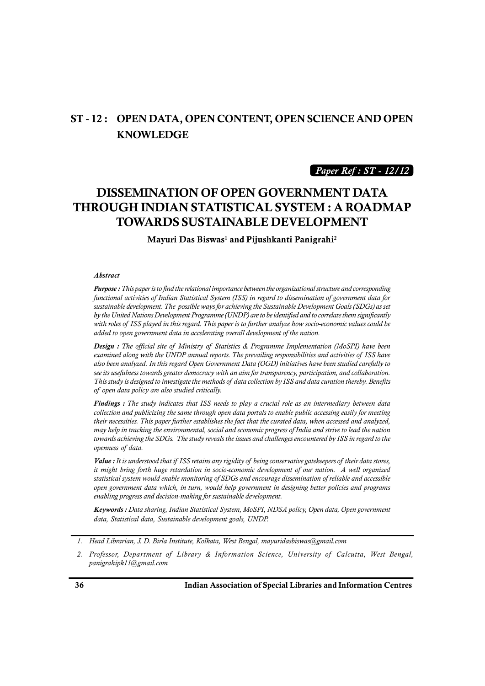## **ST - 12 : OPEN DATA, OPEN CONTENT, OPEN SCIENCE AND OPEN KNOWLEDGE**

*Paper Ref : ST - 12/12*

# **DISSEMINATION OF OPEN GOVERNMENT DATA THROUGH INDIAN STATISTICAL SYSTEM : A ROADMAP TOWARDS SUSTAINABLE DEVELOPMENT**

**Mayuri Das Biswas<sup>1</sup> and Pijushkanti Panigrahi<sup>2</sup>**

#### *Abstract*

*Purpose : This paper is to find the relational importance between the organizational structure and corresponding functional activities of Indian Statistical System (ISS) in regard to dissemination of government data for sustainable development. The possible ways for achieving the Sustainable Development Goals (SDGs) as set*<br>by the United Nations Development Programme (UNDP) are to be identified and to correlate them significantly<br>with ro *by the United Nations Development Programme (UNDP) are to be identified and to correlate them significantly* **Purpose :** This paper is to find the relational importance between the organizational structure and corresponding functional activities of Indian Statistical System (ISS) in regard to dissemination of government data for *added to open government data in accelerating overall development of the nation.*

*by the United Nations Development Programme (UNDP) are to be identified and to correlate them significantly*<br>with roles of ISS played in this regard. This paper is to further analyze how socio-economic values could be<br>add *see its usefulness towards greater democracy with an aim for transparency, participation, and collaboration.* **Design :** The official site of Ministry of Statistics & Programme Implementation (MoSPI) have been examined along with the UNDP annual reports. The prevailing responsibilities and activities of ISS have also been analyzed **Design :** The official site of Ministry of Statistic<br>examined along with the UNDP annual reports. T<br>also been analyzed. In this regard Open Governmes<br>see its usefulness towards greater democracy with ar<br>This study is desi

*Findings : The study indicates that ISS needs to play a crucial role as an intermediary between data collection and publicizing the same through open data portals to enable public accessing easily for meeting their necessities. This paper further establishes the fact that the curated data, when accessed and analyzed, may help in tracking the environmental, social and economic progress of India and strive to lead the nation towards achieving the SDGs. The study reveals the issues and challenges encountered by ISS in regard to the openness of data. Value in mecessities. This paper further establishes the fact that the curated data, when accessed and analyzed,*<br>*May help in tracking the environmental, social and economic progress of India and strive to lead the natio* 

*it might bring forth huge retardation in socio-economic development of our nation. A well organized statistical system would enable monitoring of SDGs and encourage dissemination of reliable and accessible open government data which, in turn, would help government in designing better policies and programs enabling progress and decision-making for sustainable development.*

*Keywords : Data sharing, Indian Statistical System, MoSPI, NDSA policy, Open data, Open government data, Statistical data, Sustainable development goals, UNDP.*

*<sup>1.</sup> Head Librarian, J. D. Birla Institute, Kolkata, West Bengal, mayuridasbiswas@gmail.com*

*<sup>2.</sup> Professor, Department of Library & Information Science, University of Calcutta, West Bengal, panigrahipk11@gmail.com*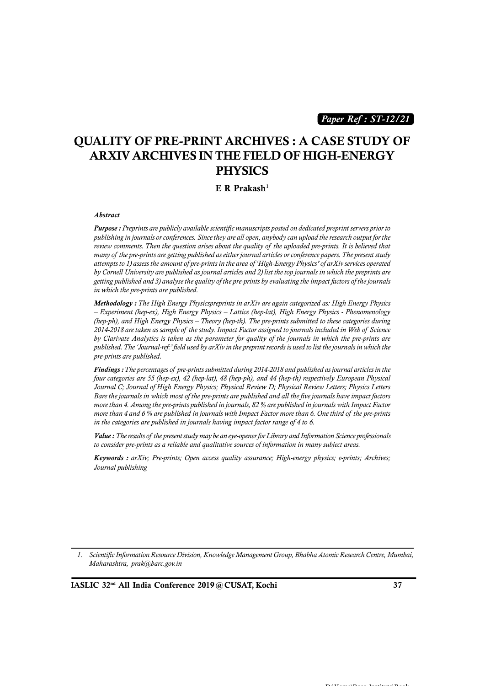*Paper Ref : ST-12/21*

# **QUALITY OF PRE-PRINT ARCHIVES : A CASE STUDY OF ARXIV ARCHIVES IN THE FIELD OF HIGH-ENERGY PHYSICS**

#### **E R Prakash<sup>1</sup>**

#### *Abstract*

*Purpose : Preprints are publicly available scientific manuscripts posted on dedicated preprint servers prior to publishing in journals or conferences. Since they are all open, anybody can upload the research output for the review comments. Then the question arises about the quality of the uploaded pre-prints. It is believed that* **Abstract**<br>**Purpose :** Preprints are publicly available scientific manuscripts posted on dedicated preprint servers prior to<br>publishing in journals or conferences. Since they are all open, anybody can upload the research o *by Cornell University are published as journal articles and 2) list the top journals in which the preprints are getting published and 3) analyse the quality of the pre-prints by evaluating the impact factors of the journals in which the pre-prints are published.*

*Methodology : The High Energy Physicspreprints in arXiv are again categorized as: High Energy Physics – Experiment (hep-ex), High Energy Physics – Lattice (hep-lat), High Energy Physics - Phenomenology (hep-ph), and High Energy Physics – Theory (hep-th). The pre-prints submitted to these categories during 2014-2018 are taken as sample of the study. Impact Factor assigned at . High Energy Physics*<br> *2014-2018 are taken as sample of the study. Impact Factor assigned to journals included in Web of Science*<br> *2014-2018 are tak by Clarivate Analytics is taken as the parameter for quality of the journals in which the pre-prints are published. The 'Journal-ref:' field used by arXiv in the preprint records is used to list the journals in which the pre-prints are published.* 2014-2018 are taken as sample of the study. Impact Factor assigned to journals included in Web of Science<br>by Clarivate Analytics is taken as the parameter for quality of the journals in which the pre-prints are<br>published.

*Journal C; Journal of High Energy Physics; Physical Review D; Physical Review Letters; Physics Letters Bare the journals in which most of the pre-prints are published and all the five journals have impact factors more than 4. Among the pre-prints published in journals, 82 % are published in journals with Impact Factor Findings : I he percentages of pre-prints submitted during 2014-2018 and published as journal articles in the four categories are 55 (hep-ex), 42 (hep-lat), 48 (hep-ph), and 44 (hep-h) respectively European Physical Jou in the categories are published in journals having impact factor range of 4 to 6. Pare the journals in which most of the pre-prints are published and all the five journals have impact factors*<br>*More than 4. Among the pre-prints published in journals, 82 % are published in journals with Impact Factor*<br>

*to consider pre-prints as a reliable and qualitative sources of information in many subject areas.*

*Keywords : arXiv; Pre-prints; Open access quality assurance; High-energy physics; e-prints; Archives; Journal publishing*

*1. Scientific Information Resource Division, Knowledge Management Group, Bhabha Atomic Research Centre, Mumbai, Maharashtra, prak@barc.gov.in*

**IASLIC 32nd All India Conference 2019 @ CUSAT, Kochi 37**

 $\mathbf{D} \cdot \mathbf{H}$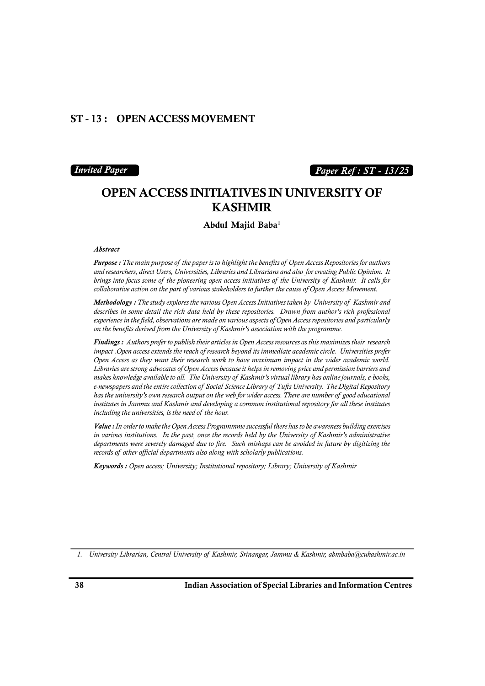### **ST - 13 : OPEN ACCESS MOVEMENT**

### *Invited Paper*

### *Paper Ref : ST - 13/25*

# **OPEN ACCESS INITIATIVES IN UNIVERSITY OF KASHMIR**

**Abdul Majid Baba<sup>1</sup>**

#### *Abstract*

*Purpose : The main purpose of the paper is to highlight the benefits of Open Access Repositories for authors* and researchers, direct Users, Universities, Libraries and Librarians and also for creating Public Opinion. It *and researchers, direct Users, Universities, Libraries and Librarians and also for creating Public Opinion. It <i>b***<br>***birings into focus some of the paper is to highlight the benefits of Open Access Repositories for authors*<br>*and researchers, direct Users, Universities, Libraries and Librarians and also for creating Public Opinion* **Purpose :** The main purpose of the paper is to highlight the benefits of Open Access Repositories for authors and researchers, direct Users, Universities, Libraries and Librarians and also for creating Public Opinion. It

*describes in some detail the rich data held by these repositories. Drawn from author's rich professional experience in the field, observations are made on various aspects of Open Access repositories and particularly on the benefits derived from the University of Kashmir's association with the programme.*

*Findings : Authors prefer to publish their articles in Open Access resources as this maximizes their research impact .Open access extends the reach of research beyond its immediate academic circle. Universities prefer Open Access as they want their research work to have maximum impact in the wider academic world. Libraries are strong advocates of Open Access because it helps in removing price and permission barriers and makes Authors prefer to publish their articles in Open Access resources as this maximizes their research* impact . Open access extends the reach of research beyond its immediate academic circle. Universities prefer Open A **Findings :** Authors prefer to publish their articles in Open Access resources as this maximizes their research<br>impact .Open access extends the reach of research beyond its immediate academic circle. Universities prefer<br>Op *impact .Open access extends the reach of research beyond its immediate academic circle. Universities prefer*<br>Open Access as they want their research work to have maximum impact in the wider academic world.<br>Libraries are s *institutes in Jammu and Kashmir and developing a common institutional repository for all these institutes Libraries are strong advocates of Open Access because it helps<br>makes knowledge available to all. The University of Kashmii<br>e-newspapers and the entire collection of Social Science Librar<br>has the university's own research* 

*Value : In order to make the Open Access Programmme successful there has to be awareness building exercises in various institutions. In the past, once the records held by the University of Kashmir's administrative departments were severely damaged due to fire. Such mishaps can be avoided in future by digitizing the recording the universities, is the need of the hour.*<br> *Value : In order to make the Open Access Programmme successful there has to be a***<br>** *in various institutions.* **In the past, once the records held by the University o** 

*Keywords : Open access; University; Institutional repository; Library; University of Kashmir*

*1. University Librarian, Central University of Kashmir, Srinangar, Jammu & Kashmir, abmbaba@cukashmir.ac.in*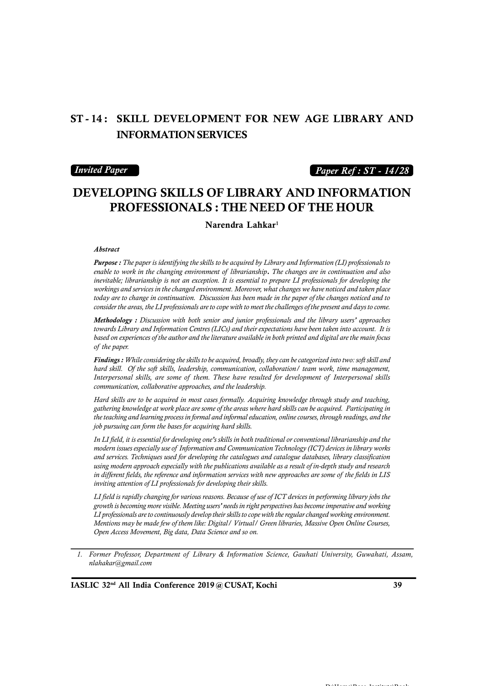# **ST - 14 : SKILL DEVELOPMENT FOR NEW AGE LIBRARY AND INFORMATION SERVICES**

#### *Invited Paper*

### *Paper Ref : ST - 14/28*

# **DEVELOPING SKILLS OF LIBRARY AND INFORMATION PROFESSIONALS : THE NEED OF THE HOUR**

**Narendra Lahkar<sup>1</sup>**

#### *Abstract*

*Purpose : The paper is identifying the skills to be acquired by Library and Information (LI) professionals to enable to work in the paper is identifying the skills to be acquired by Library and Information (LI) professionals to enable to work in the changing environment of librarianship*. *The changes are in continuation and al inevitable; librarianship is not an exception. It is essential to prepare LI professionals for developing the workings and services in the changed environment. Moreover, what changes we have noticed and taken place today are to change in continuation. Discussion has been made in the paper of the changes noticed and to*

*consider the areas, the LI professionals are to cope with to meet the challenges of the present and days to come.*<br> **Methodology** : Discussion with both senior and junior professionals and the library users' approaches<br> *Methodology : Discussion with both senior and junior professionals and the library users' approaches towards Library and Information Centres (LICs) and their expectations have been taken into account. It is based on experiences of the author and the literature available in both printed and digital are the main focus*

*Findings : While considering the skills to be acquired, broadly, they can be categorized into two: soft skill and hard skill. Of the soft skills, leadership, communication, collaboration/ team work, time management, based on experiences of the author and the literature available in both printed and digital are the main focus*<br>of *the paper.*<br>**Findings :** While considering the skills to be acquired, broadly, they can be categorized in *communication, collaborative approaches, and the leadership.*

*Hard skills are to be acquired in most cases formally. Acquiring knowledge through study and teaching, gathering knowledge at work place are some of the areas where hard skills can be acquired. Participating in the teaching and learning process in formal and informal education, online courses, through readings, and the job pursuing can form the bases for acquiring hard skills.*

*In LI field, it is essential for developing one's skills in both traditional or conventional librarianship and the* gathering knowledge at work place are some of the areas where hard skills can be acquired. Participating in the teaching and learning process in formal and informal education, online courses, through readings, and the job *and services. Techniques used for developing the catalogues and catalogue databases, library classification using modern approach especially with the publications available as a result of in-depth study and research In LI field, it is essential for developing one's skills in both traditional or conventional librarianship and the modern issues especially use of Information and Communication Technology (ICT) devices in library works an inviting attention of LI professionals for developing their skills.*

*LI field is rapidly changing for various reasons. Because of use of ICT devices in performing library jobs the growth is becoming more visible. Meeting users' needs in right perspectives has become imperative and working LI professionals are to continuously develop their skills to cope with the regular changed working environment. Mentions may be made few of them like: Digital/ Virtual/ Green libraries, Massive Open Online Courses, Open Access Movement, Big data, Data Science and so on.*

*<sup>1.</sup> Former Professor, Department of Library & Information Science, Gauhati University, Guwahati, Assam, nlahakar@gmail.com*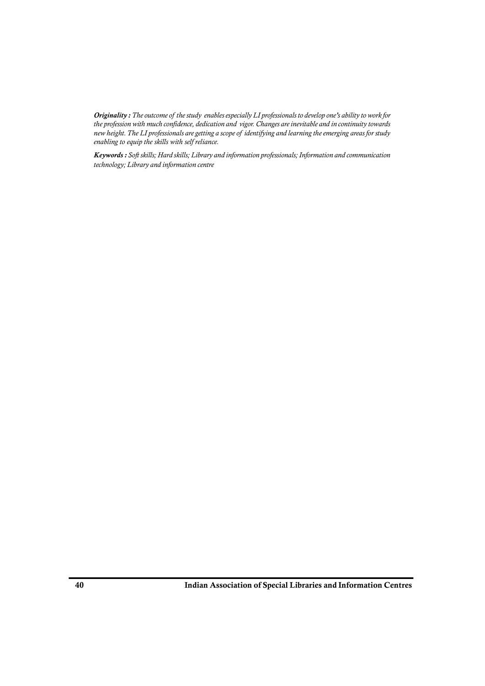**Originality :** The outcome of the study-enables especially LI professionals to develop one's ability to work for<br>the profession with much confidence, dedication and vigor. Changes are inevitable and in continuity towards *Originality : The outcome of the study enables especially LI professionals to develop one's ability to work for***<br>the profession with much confidence, dedication and vigor. Changes are inevitable and in continuity towards** *enabling to equip the skills with self reliance.*

*Keywords : Soft skills; Hard skills; Library and information professionals; Information and communication technology; Library and information centre*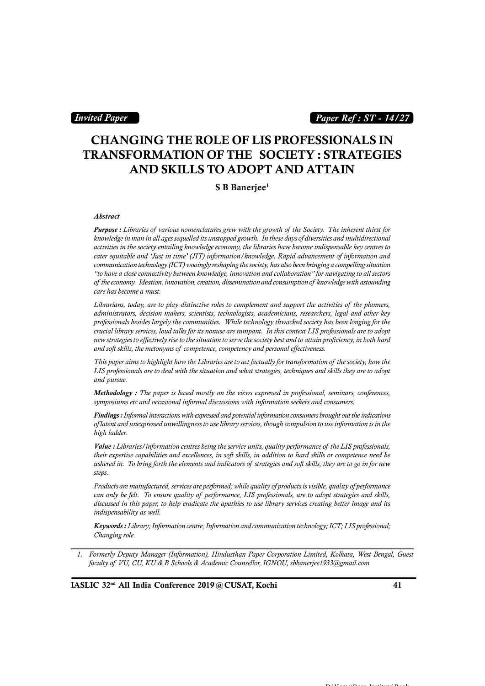### *Invited Paper*

### *Paper Ref : ST - 14/27*

# **CHANGING THE ROLE OF LIS PROFESSIONALS IN TRANSFORMATION OF THE SOCIETY : STRATEGIES AND SKILLS TO ADOPT AND ATTAIN**

#### **S B Banerjee<sup>1</sup>**

#### *Abstract*

 $$\sf{S}\;\bf{B}\;\bf{B}$   $\bf{anerjee}^1$ <br>  $\bf{A} \it{b} \it{stract}$ <br>  $\bf{P} \it{urpose}:~\bf{L} \it{ibraries}~\rm{of}~\rm{various}~\rm{nonenclatures}~\rm{g} \it{rew}~\rm{with}~\rm{the}~\rm{g} \it{rowth}~\rm{of}~\rm{the}~\rm{Society}.$  The inherent thirst for<br>  $\it{knowledge}~\rm{in}~\rm{man}~\rm{in}~\rm{all}~\rm{ages}~\rm{sequelled}$ *activities in the society entailing knowledge economy, the libraries have become indispensable key centres to cater equitable and 'Just in time' (JIT) information/knowledge. Rapid advancement of information and communication technology (ICT) wooingly reshaping the society, has also been bringing a compelling situation "to have a close connectivity between knowledge, innovation and collaboration" for navigating to all sectors knowledge in man in all ages sequelled its unstopped growth. In these days of diversities and multidirectional*<br>activities in the society entailing knowledge economy, the libraries have become indispensable key centres to *care has become a must. Librarians, today, are to play distinction, dissemination and consumption of knowledge with astounding* care has become a must.<br>Librarians, today, are to play distinctive roles to complement and support the activities of

*administrators, decision makers, scientists, technologists, academicians, researchers, legal and other key professionals besides largely the communities. While technology thwacked society has been longing for the crucial library services, loud talks for its nonuse are rampant. In this context LIS professionals are to adopt new strategies to effectively rise to the situation to serve the society best and to attain proficiency, in both hard Librarians, today, are to play distinctive roles to complement and support the activitie* administrators, decision makers, scientists, technologists, academicians, researchers, le<br>professionals besides largely the communi *This paper aims to highlight how the Libraries are to act factually for transformation of the society, how the*

*LIS professionals are to deal with the situation and what strategies, techniques and skills they are to adopt and pursue.*

*Methodology : The paper is based mostly on the views expressed in professional, seminars, conferences, symposiums etc and occasional informal discussions with information seekers and consumers.*

*Findings:Informal interactions with expressed and potential information consumers brought out the indications high ladder. Symposiums etc and occasional informal discussions with information seekers and consumers.*<br> **Findings :** *Informal interactions with expressed and potential information consumers brought out the indications*<br> *of latent* 

of latent and unexpressed unwillingness to use library services, though compulsion to use information is in the<br>high ladder.<br>**Value :** Libraries / information centres being the service units, quality performance of the LIS *their expertise capabilities and excellences, in soft skills, in addition to hard skills or competence need be steps.* their expertise capabilities and excellences, in soft skills, in addition to hard skills or competence need be<br>ushered in. To bring forth the elements and indicators of strategies and soft skills, they are to go in for new

*Products are manufactured, services are performed; while quality of products is visible, quality of performance indispensability as well.*

*Keywords : Library; Information centre; Information and communication technology; ICT; LIS professional; Changing role*

*1. Formerly Deputy Manager (Information), Hindusthan Paper Corporation Limited, Kolkata, West Bengal, Guest <i>Keywords : Library; Information centre; Information and communication technology; ICT; LIS professional; Changing role***<br>***Formerly Deputy Manager (Information), Hindusthan Paper Corporation Limited, Kolkata, West Bengal,*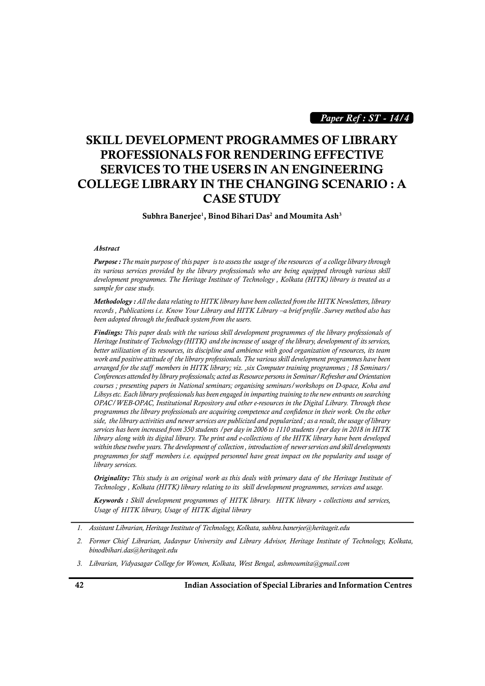*Paper Ref : ST - 14/4*

# **SKILL DEVELOPMENT PROGRAMMES OF LIBRARY PROFESSIONALS FOR RENDERING EFFECTIVE SERVICES TO THE USERS IN AN ENGINEERING COLLEGE LIBRARY IN THE CHANGING SCENARIO : A CASE STUDY**

**Subhra Banerjee1, Binod Bihari Das<sup>2</sup> and Moumita Ash<sup>3</sup>**

#### *Abstract*

*Purpose : The main purpose of this paper is to assess the usage of the resources of a college library through its various services provided by the library professionals who are being equipped through various skill development programmes. The Heritage Institute of Technology , Kolkata (HITK) library is treated as a sample for case study.*

*Methodology : All the data relating to HITK library have been collected from the HITK Newsletters, library records , Publications i.e. Know Your Library and HITK Library –a brief profile .Survey method also has been adopted through the feedback system from the users. Findings: All the data relating to HITK library have been collected from the HITK Newsletters, library*<br>*Findings: All the data relating to HITK library and HITK Library –a brief profile . Survey method also has*<br>*been ad* 

*Methodology : All the data relating to HITK library have been collected from the HITK Newsletters, library*<br>*records*, *Publications i.e. Know Your Library and HITK Library* –a *brief profile .Survey method also has*<br>*bee better utilization of its resources, its discipline and ambience with good organization of resources, its team been adopted through the feedback system from the users.*<br> **Findings:** This paper deals with the various skill development programmes of the library professionals of<br> *Heritage Institute of Technology (HITK) and the incre* **Findings:** This paper deals with the various skill development programmes of the library professionals of *Heritage Institute of Technology (HITK)* and the increase of usage of the library, development of its services, be *Conferences attended by library professionals; acted as Resource persons in Seminar/Refresher and Orientation courses ; presenting papers in National seminars; organising seminars/workshops on D-space, Koha and Libsys etc. Each library professionals has been engaged in imparting training to the new entrants on searching OPAC/WEB-OPAC, Institutional Repository and other e-resources in the Digital Library. Through these programmes the library professionals are acquiring competence and confidence in their work. On the other side, the library activities and newer services are publicized and popularized ; as a result, the usage of library services has been increased from 350 students /per day in 2006 to 1110 students /per day in 2018 in HITK library along with its digital library. The print and e-collections of the HITK library have been developed WEB-OPAC, Institutional Repository and other e-resources in the Digital Library. Through these*<br>programmes the library professionals are acquiring competence and confidence in their work. On the other<br>side, the library ac programmes the library professionals are acquiring competence and confidence in their work. On the other<br>side, the library activities and newer services are publicized and popularized; as a result, the usage of library<br>ser *library services. Originality: This stigital library. The print and e-collections of the HITK library have been developed*<br>*Within these twelve years. The development of collection*, *introduction of newer services and skill developments*<br>

*Technology , Kolkata (HITK) library relating to its skill development programmes, services and usage.*

*Keywords for staff members 1.e. equipped personnel have great impact on the popularity and usage of library services.*<br> *Originality: This study is an original work as this deals with primary data of the Heritage Institu Usage of HITK library services.*<br> **Originality:** This study is an original work as this deals with  $Technology$ , Kolkata (HITK) library relating to its skill develop<br> **Keywords**: Skill development programmes of HITK library.<br>
U *1. <i>Assistant Library, Usage of HITK library 1. <i>All ITK library* - collections and services, Usage of HITK library, Usage of HITK digital library<br>1. *Assistant Librarian, Heritage Institute of Technology, Kolkata,* 

- *2. Former Chief Librarian, Jadavpur University and Library Advisor, Heritage Institute of Technology, Kolkata, binodbihari.das@heritageit.edu*
- *3. Librarian, Vidyasagar College for Women, Kolkata, West Bengal, ashmoumita@gmail.com*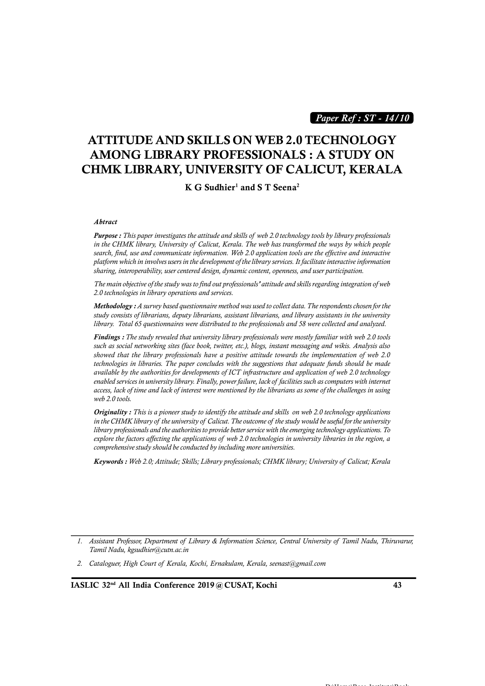*Paper Ref : ST - 14/10*

# **ATTITUDE AND SKILLS ON WEB 2.0 TECHNOLOGY AMONG LIBRARY PROFESSIONALS : A STUDY ON CHMK LIBRARY, UNIVERSITY OF CALICUT, KERALA**

**K G Sudhier<sup>1</sup> and S T Seena<sup>2</sup>**

*Abtract*

*Purpose : This paper investigates the attitude and skills of web 2.0 technology tools by library professionals <i>Abtract*<br>*Purpose : This paper investigates the attitude and skills of web 2.0 technology tools by library professionals*<br>in the CHMK library, University of Calicut, Kerala. The web has transformed the ways by which pe *search, find, use and communicate information. Web 2.0 application tools are the effective and interactive platform which in involves users in the development of the library services. It facilitate interactive information sharing, interoperability, user centered design, dynamic content, openness, and user participation.*

*The main objective of the study was to find out professionals' attitude and skills regarding integration of web 2.0 technologies in library operations and services.*

*Methodology : A survey based questionnaire method was used to collect data. The respondents chosen for the study consists of librarians, deputy librarians, assistant librarians, and library assistants in the university library. Total 65 questionnaires were distributed to the professionals and 58 were collected and analyzed.*

*Findings : The study revealed that university library professionals were mostly familiar with web 2.0 tools such as social networking sites (face book, twitter, etc.), blogs, instant messaging and wikis. Analysis also showed that the library professionals have a positive attitude towards the implementation of web 2.0 technologies in libraries. The paper concludes with the suggestions that adequate funds should be made available by the authorities for developments of ICT infrastructure and application of web 2.0 technology Findings : The study revealed that university library professionals were mostly familiar with web 2.0 tools* **such as social networking sites (face book, twitter, etc.), blogs, instant messaging and wikis. Analysis also s** *access, lack of time and lack of interest were mentioned by the librarians as some of the challenges in using web 2.0 tools. in the CHMK library of the university conversally, power failure, lack of facilities such as computers with internet*<br>access, lack of time and lack of interest were mentioned by the librarians as some of the challenges in

*Originality : This is a pioneer study to identify the attitude and skills on web 2.0 technology applications library professionals and the authorities to provide better service with the emerging technology applications. To explore the factors.*<br> **explore the factors:**<br> **explore the factors** affecting the university of Calicut. The outcome of the study would be useful for the university<br> *dibrary professionals and the authorities to provide comprehensive study should be conducted by including more universities. in the CHMK library of the university of Calicut. The outcome of the study would be useful for the university library professionals and the authorities to provide better service with the emerging technology applications.* 

 $\mathbf{D} \cdot \mathbf{H}$ 

*<sup>1.</sup> Assistant Professor, Department of Library & Information Science, Central University of Tamil Nadu, Thiruvarur, Tamil Nadu, kgsudhier@cutn.ac.in*

*<sup>2.</sup> Cataloguer, High Court of Kerala, Kochi, Ernakulam, Kerala, seenast@gmail.com*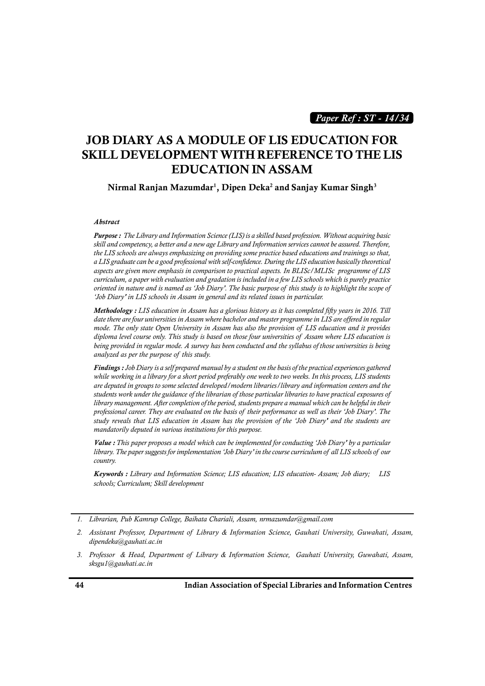*Paper Ref : ST - 14/34*

# **JOB DIARY AS A MODULE OF LIS EDUCATION FOR SKILL DEVELOPMENT WITH REFERENCE TO THE LIS EDUCATION IN ASSAM**

**Nirmal Ranjan Mazumdar1, Dipen Deka<sup>2</sup> and Sanjay Kumar Singh<sup>3</sup>**

#### *Abstract*

*Purpose : The Library and Information Science (LIS) is a skilled based profession. Without acquiring basic skill and competency, a better and a new age Library and Information services cannot be assured. Therefore, the LIS schools are always emphasizing on providing some practice based educations and trainings so that, a LIS graduate can be a good professional with self-confidence. During the LIS education basically theoretical aspects are given more emphasis in comparison to practical aspects. In BLISc/MLISc programme of LIS curriculum, a paper with evaluation and gradation is included in a few LIS schools which is purely practice skill and competency, a better and a new age Library and Information services cannot be assured. Therefore,*<br>*the LIS schools are always emphasizing on providing some practice based educations and trainings so that,*<br>*a L 'Job Diary' in LIS schools in Assam in general and its related issues in particular.*

*Methodology : LIS education in Assam has a glorious history as it has completed fifty years in 2016. Till date there are four universities in Assam where bachelor and master programme in LIS are offered in regular oriented in nature and is named as 'Job Diary'. The basic purpose of this study is to highlight the scope of*<br>'Job Diary' in LIS schools in Assam in general and its related issues in particular.<br>**Methodology** : LIS educat *diama level course in Assam in general and its related issues in particular.*<br>**Methodology** : LIS education in Assam has a glorious history as it has completed fifty years in 2016. Till date there are four universities in *being provided in regular mode. A survey has been conducted and the syllabus of those universities is being Methodology : LIS education in Assam has a gloric*<br>*date there are four universities in Assam where bachel*<br>*mode. The only state Open University in Assam ha.*<br>*diploma level course only. This study is based on the<br>being* 

*Findings : Job Diary is a self prepared manual by a student on the basis of the practical experiences gathered while working in a library for a short period preferably one week to two weeks. In this process, LIS students are deputed in groups to some selected developed/modern libraries/library and information centers and the students work under the guidance of the librarian of those particular libraries to have practical exposures of library management. After completion of the period, students prepare a manual which can be helpful in their Pindings*: Job Diary is a self prepared manual by a student on the basis of the practical experiences gathered while working in a library for a short period preferably one week to two weeks. In this process, LIS student *study reveals that LIS education in Assam has the provision of the 'Job Diary' and the students are mandatorily deputed in various institutions for this purpose. professional career. They are evaluated on the basis of their performance as well as their 'Job Diary'. The study reveals that LIS education in Assam has the provision of the 'Job Diary' and the students are mandatorily d* 

*Value : This paper proposes a model which can be implemented for conducting 'Job Diary' by a particular country.*

*Keywords : Library and Information Science; LIS education; LIS education- Assam; Job diary; LIS schools; Curriculum; Skill development*

- *1. Librarian, Pub Kamrup College, Baihata Chariali, Assam, nrmazumdar@gmail.com*
- *2. Assistant Professor, Department of Library & Information Science, Gauhati University, Guwahati, Assam, dipendeka@gauhati.ac.in*
- *3. Professor & Head, Department of Library & Information Science, Gauhati University, Guwahati, Assam, sksgu1@gauhati.ac.in*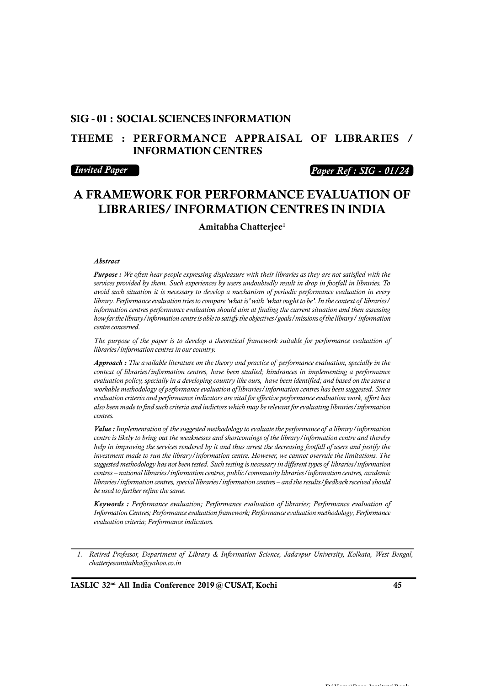### **SIG - 01 : SOCIAL SCIENCES INFORMATION**

### **THEME : PERFORMANCE APPRAISAL OF LIBRARIES / INFORMATION CENTRES**

### *Invited Paper*

### *Paper Ref : SIG - 01/24*

# **A FRAMEWORK FOR PERFORMANCE EVALUATION OF LIBRARIES/ INFORMATION CENTRES IN INDIA**

**Amitabha Chatterjee<sup>1</sup>**

#### *Abstract*

*Purpose : We often hear people expressing displeasure with their libraries as they are not satisfied with the services provided by them. Such experiences by users undoubtedly result in drop in footfall in libraries. To avoid such situation it is necessary to develop a mechanism of periodic performance evaluation in every library. Performance evaluation tries to compare 'what is' with 'what ought to be'. In the context of libraries/ information centres performance evaluation should aim at finding the current situation and then assessing how far the library/information centre is able to satisfy the objectives/goals/missions of the library/ information centre concerned.*

*The purpose of the paper is to develop a theoretical framework suitable for performance evaluation of libraries/information centres in our country.*

*Approach : The available literature on the theory and practice of performance evaluation, specially in the context of libraries/information centres, have been studied; hindrances in implementing a performance evaluation policy, specially in a developing country like ours, have been identified; and based on the same a* workable methodology of performance evaluation of libraries *l* information centres has been suggested. Since evaluation criteria and performance indicators are vital for effective performance evaluation work, effort has a *evaluation criteria and performance indicators are vital for effective performance evaluation work, effort has also been made to find such criteria and indictors which may be relevant for evaluating libraries/information centres.*

*centre is likely to bring out the weaknesses and shortcomings of the library/information centre and thereby help in improving the services rendered by it and thus arrest the decreasing footfall of users and justify the investment made to run the library/information centre. However, we cannot overrule the limitations. The Value : Implementation of the suggested methodology to evaluate the performance of a library/information centre is likely to bring out the weaknesses and shortcomings of the library/information centre and thereby help in centres – national libraries/information centres, public/community libraries/information centres, academic libraries/information centres, special libraries/information centres – and the results/feedback received should be used to further refine the same.*

*Keywords : Performance evaluation; Performance evaluation of libraries; Performance evaluation of Information Centres; Performance evaluation framework; Performance evaluation methodology; Performance evaluation criteria; Performance indicators.*

*1. Retired Professor, Department of Library & Information Science, Jadavpur University, Kolkata, West Bengal, chatterjeeamitabha@yahoo.co.in*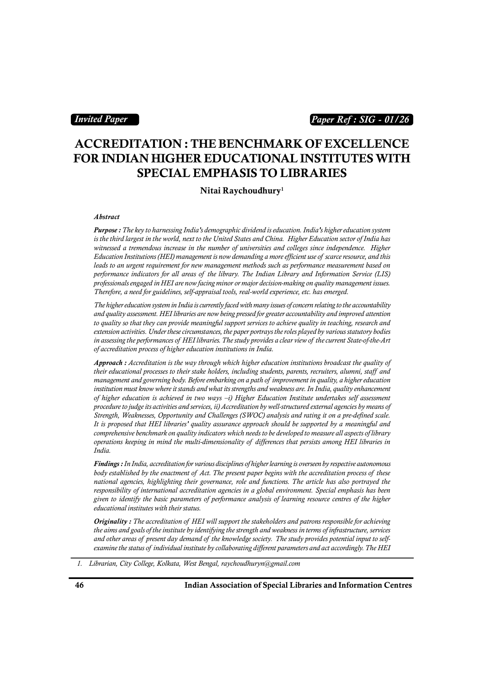### *Invited Paper*

### *Paper Ref : SIG - 01/26*

## **ACCREDITATION : THE BENCHMARK OF EXCELLENCE FOR INDIAN HIGHER EDUCATIONAL INSTITUTES WITH SPECIAL EMPHASIS TO LIBRARIES**

**Nitai Raychoudhury<sup>1</sup>**

*Abstract*

*Purpose : The key to harnessing India's demographic dividend is education. India's higher education system is the third largest in the world, next to the United States and China. Higher Education sector of India has witnessed a tremendous increase in the number of universities and colleges since independence. Higher Abstract*<br>**Purpose :** The key to harnessing India's demographic dividend is education. India's higher education system<br>is the third largest in the world, next to the United States and China. Higher Education sector of Ind *leads to an urgent requirement for new management methods such as performance measurement based on* **Purpose :** The key to harnessing India's demographic dividend is education. India's higher education system is the third largest in the world, next to the United States and China. Higher Education sector of India has witn *professionals engaged in HEI are now facing minor or major decision-making on quality management issues. Therefore, a need for guidelines, self-appraisal tools, real-world experience, etc. has emerged.*

*The higher education system in India is currently faced with many issues of concern relating to the accountability and quality assessment. HEI libraries are now being pressed for greater accountability and improved attention to quality so that they can provide meaningful support services to achieve quality in teaching, research and extension activities. Under these circumstances, the paper portrays the roles played by various statutory bodies The higher education system in India is currently faced with many issues of concern relating to the accountability*<br>and quality assessment. HEI libraries are now being pressed for greater accountability and improved atten *of accreditation process of higher education institutions in India. extension activities. Under these circumstances, the paper portrays the roles played by various statutory bodies*<br>in assessing the performances of HEI libraries. The study provides a clear view of the current State-of-the

*Approach : Accreditation is the way through which higher education institutions broadcast the quality of m* assessing the performances of HEI libraries. The study provides a clear view of the current State-of-the-Art of accreditation process of higher education institutions in India.<br>**Approach :** Accreditation is the way thr *institution must know where it stands and what its strengths and weakness are. In India, quality enhancement of higher education is achieved in two ways –i) Higher Education Institute undertakes self assessment procedure to judge its activities and services, ii) Accreditation by well-structured external agencies by means of Strength, Weaknesses, Opportunity and Challenges (SWOC) analysis and rating it on a pre-defined scale. It is proposed that HEI libraries' quality assurance approach should be supported by a meaningful and of higher education is achieved in two ways*  $-i$ *) Higher Education Institute undertakes self assessment*<br>procedure to judge its activities and services, ii) Accreditation by well-structured external agencies by means of<br> *India.*

comprehensive benchmark on quality indicators which needs to be developed to measure all aspects of library<br>operations keeping in mind the multi-dimensionality of differences that persists among HEI libraries in<br>India.<br>**Fi** *Findings : In India, accreditation for various disciplines of higher learning is overseen by respective autonomous national agencies, highlighting their governance, role and functions. The article has also portrayed the responsibility of international accreditation agencies in a global environment. Special emphasis has been given to identify the basic parameters of performance analysis of learning resource centres of the higher educational institutes with their status. national agencies, highlighting their governance, role and functions. The article has also portrayed the responsibility of international accreditation agencies in a global environment. Special emphasis has been given to i* 

*the aims and goals of the institute by identifying the strength and weakness in terms of infrastructure, services aiven to identify the basic parameters of performance analysis of learning resource centres of the higher educational institutes with their status.*<br>**Originality** : The accreditation of HEI will support the stakeholders *Originality* : The accreditation of HEI will support the stakeholders and patrons responsible for achieving the aims and goals of the institute by identifying the strength and weakness in terms of infrastructure, servi

*<sup>1.</sup> Librarian, City College, Kolkata, West Bengal, raychoudhuryn@gmail.com*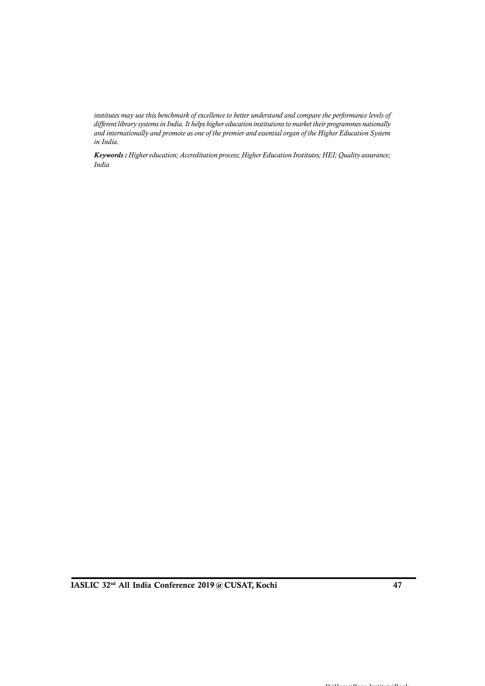*institutes may use this benchmark of excellence to better understand and compare the performance levels of different library systems in India. It helps higher education institutions to market their programmes nationally and internationally and promote as one of the premier and essential organ of the Higher Education System in India.*

*Keywords : Higher education; Accreditation process; Higher Education Institutes; HEI; Quality assurance; India*